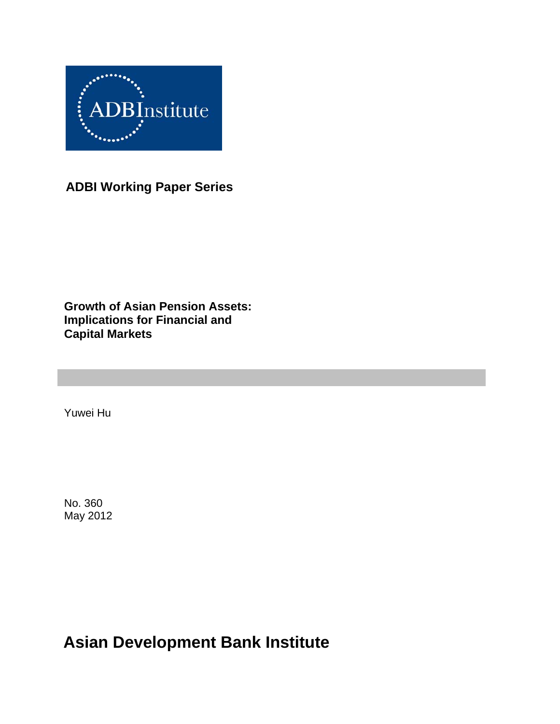

**ADBI Working Paper Series** 

**Growth of Asian Pension Assets: Implications for Financial and Capital Markets**

Yuwei Hu

No. 360 May 2012

**Asian Development Bank Institute**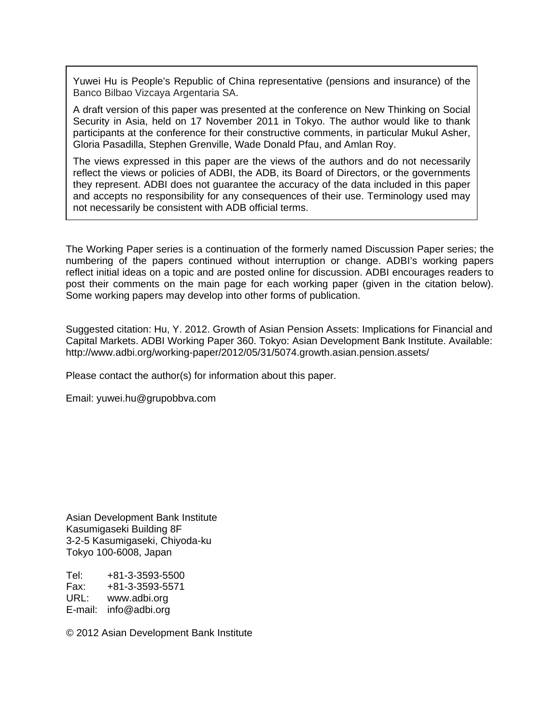Yuwei Hu is People's Republic of China representative (pensions and insurance) of the Banco Bilbao Vizcaya Argentaria SA.

A draft version of this paper was presented at the conference on New Thinking on Social Security in Asia, held on 17 November 2011 in Tokyo. The author would like to thank participants at the conference for their constructive comments, in particular Mukul Asher, Gloria Pasadilla, Stephen Grenville, Wade Donald Pfau, and Amlan Roy.

The views expressed in this paper are the views of the authors and do not necessarily reflect the views or policies of ADBI, the ADB, its Board of Directors, or the governments they represent. ADBI does not guarantee the accuracy of the data included in this paper and accepts no responsibility for any consequences of their use. Terminology used may not necessarily be consistent with ADB official terms.

The Working Paper series is a continuation of the formerly named Discussion Paper series; the numbering of the papers continued without interruption or change. ADBI's working papers reflect initial ideas on a topic and are posted online for discussion. ADBI encourages readers to post their comments on the main page for each working paper (given in the citation below). Some working papers may develop into other forms of publication.

Suggested citation: Hu, Y. 2012. Growth of Asian Pension Assets: Implications for Financial and Capital Markets. ADBI Working Paper 360. Tokyo: Asian Development Bank Institute. Available: http://www.adbi.org/working-paper/2012/05/31/5074.growth.asian.pension.assets/

Please contact the author(s) for information about this paper.

Email: yuwei.hu@grupobbva.com

Asian Development Bank Institute Kasumigaseki Building 8F 3-2-5 Kasumigaseki, Chiyoda-ku Tokyo 100-6008, Japan

Tel: +81-3-3593-5500 Fax: +81-3-3593-5571 URL: www.adbi.org E-mail: info@adbi.org

© 2012 Asian Development Bank Institute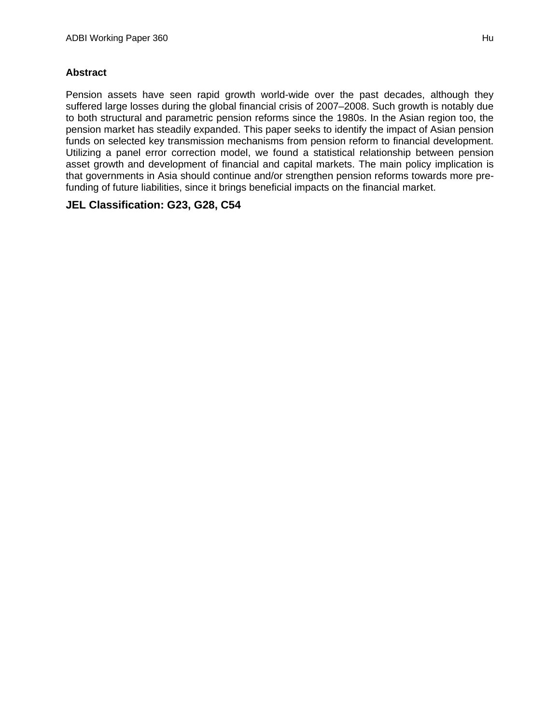### **Abstract**

Pension assets have seen rapid growth world-wide over the past decades, although they suffered large losses during the global financial crisis of 2007–2008. Such growth is notably due to both structural and parametric pension reforms since the 1980s. In the Asian region too, the pension market has steadily expanded. This paper seeks to identify the impact of Asian pension funds on selected key transmission mechanisms from pension reform to financial development. Utilizing a panel error correction model, we found a statistical relationship between pension asset growth and development of financial and capital markets. The main policy implication is that governments in Asia should continue and/or strengthen pension reforms towards more prefunding of future liabilities, since it brings beneficial impacts on the financial market.

### **JEL Classification: G23, G28, C54**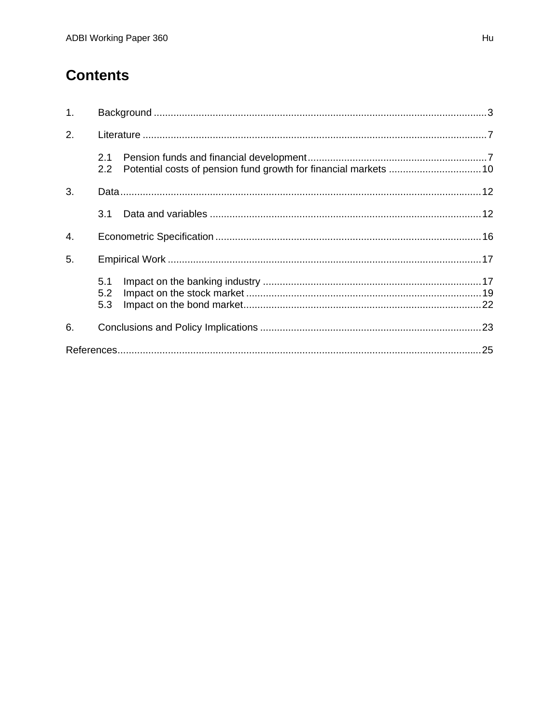# **Contents**

| 1. |                      |  |
|----|----------------------|--|
| 2. |                      |  |
|    | 2.1<br>$2.2^{\circ}$ |  |
| 3. |                      |  |
|    | 3.1                  |  |
| 4. |                      |  |
| 5. |                      |  |
|    | 5.1<br>5.2<br>5.3    |  |
| 6. |                      |  |
|    |                      |  |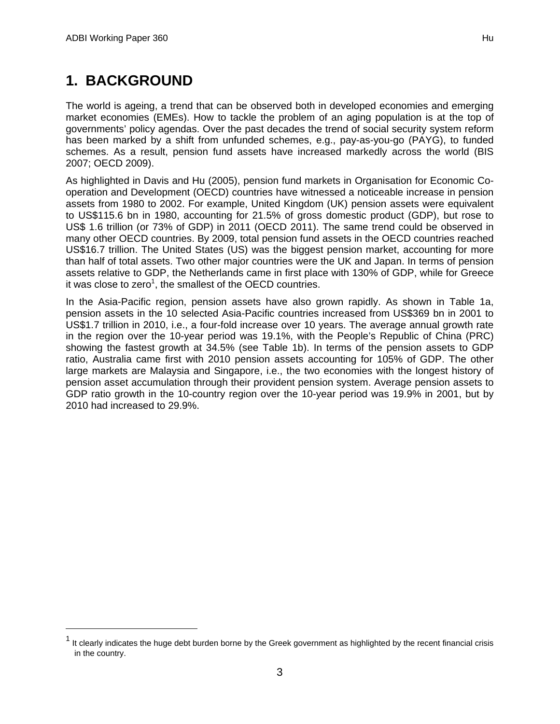-

# **1. BACKGROUND**

The world is ageing, a trend that can be observed both in developed economies and emerging market economies (EMEs). How to tackle the problem of an aging population is at the top of governments' policy agendas. Over the past decades the trend of social security system reform has been marked by a shift from unfunded schemes, e.g., pay-as-you-go (PAYG), to funded schemes. As a result, pension fund assets have increased markedly across the world (BIS 2007; OECD 2009).

As highlighted in Davis and Hu (2005), pension fund markets in Organisation for Economic Cooperation and Development (OECD) countries have witnessed a noticeable increase in pension assets from 1980 to 2002. For example, United Kingdom (UK) pension assets were equivalent to US\$115.6 bn in 1980, accounting for 21.5% of gross domestic product (GDP), but rose to US\$ 1.6 trillion (or 73% of GDP) in 2011 (OECD 2011). The same trend could be observed in many other OECD countries. By 2009, total pension fund assets in the OECD countries reached US\$16.7 trillion. The United States (US) was the biggest pension market, accounting for more than half of total assets. Two other major countries were the UK and Japan. In terms of pension assets relative to GDP, the Netherlands came in first place with 130% of GDP, while for Greece it was close to zero<sup>1</sup>, the smallest of the OECD countries.

In the Asia-Pacific region, pension assets have also grown rapidly. As shown in Table 1a, pension assets in the 10 selected Asia-Pacific countries increased from US\$369 bn in 2001 to US\$1.7 trillion in 2010, i.e., a four-fold increase over 10 years. The average annual growth rate in the region over the 10-year period was 19.1%, with the People's Republic of China (PRC) showing the fastest growth at 34.5% (see Table 1b). In terms of the pension assets to GDP ratio, Australia came first with 2010 pension assets accounting for 105% of GDP. The other large markets are Malaysia and Singapore, i.e., the two economies with the longest history of pension asset accumulation through their provident pension system. Average pension assets to GDP ratio growth in the 10-country region over the 10-year period was 19.9% in 2001, but by 2010 had increased to 29.9%.

 $1$  It clearly indicates the huge debt burden borne by the Greek government as highlighted by the recent financial crisis in the country.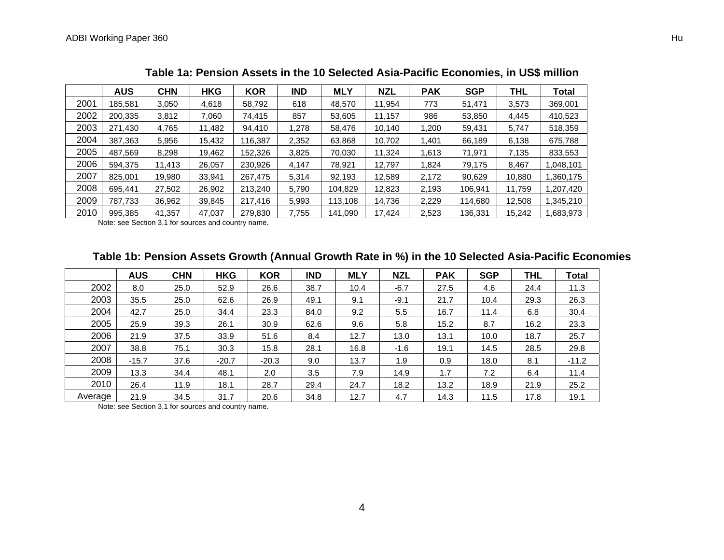|      | <b>AUS</b> | <b>CHN</b> | <b>HKG</b> | <b>KOR</b> | <b>IND</b> | <b>MLY</b> | <b>NZL</b> | <b>PAK</b> | <b>SGP</b> | <b>THL</b> | <b>Total</b> |
|------|------------|------------|------------|------------|------------|------------|------------|------------|------------|------------|--------------|
| 2001 | 185.581    | 3.050      | 4,618      | 58,792     | 618        | 48,570     | 11.954     | 773        | 51,471     | 3,573      | 369,001      |
| 2002 | 200.335    | 3,812      | 7.060      | 74.415     | 857        | 53,605     | 11,157     | 986        | 53,850     | 4.445      | 410,523      |
| 2003 | 271.430    | 4.765      | 11,482     | 94,410     | 1.278      | 58,476     | 10.140     | 1.200      | 59.431     | 5.747      | 518,359      |
| 2004 | 387,363    | 5.956      | 15,432     | 116,387    | 2,352      | 63,868     | 10,702     | 1,401      | 66,189     | 6,138      | 675,788      |
| 2005 | 487.569    | 8.298      | 19,462     | 152,326    | 3,825      | 70,030     | 11,324     | 1.613      | 71,971     | 7,135      | 833,553      |
| 2006 | 594.375    | 11.413     | 26,057     | 230,926    | 4.147      | 78,921     | 12,797     | 1.824      | 79.175     | 8.467      | 1,048,101    |
| 2007 | 825,001    | 19,980     | 33,941     | 267.475    | 5,314      | 92,193     | 12,589     | 2,172      | 90,629     | 10,880     | 1,360,175    |
| 2008 | 695.441    | 27,502     | 26,902     | 213,240    | 5,790      | 104,829    | 12,823     | 2,193      | 106.941    | 11.759     | 1,207,420    |
| 2009 | 787.733    | 36,962     | 39,845     | 217.416    | 5,993      | 113,108    | 14,736     | 2,229      | 114,680    | 12,508     | 1,345,210    |
| 2010 | 995,385    | 41,357     | 47,037     | 279,830    | 7,755      | 141,090    | 17,424     | 2,523      | 136,331    | 15,242     | 1,683,973    |

**Table 1a: Pension Assets in the 10 Selected Asia-Pacific Economies, in US\$ million** 

Note: see Section 3.1 for sources and country name.

## **Table 1b: Pension Assets Growth (Annual Growth Rate in %) in the 10 Selected Asia-Pacific Economies**

|         | <b>AUS</b> | <b>CHN</b> | <b>HKG</b> | <b>KOR</b> | <b>IND</b> | <b>MLY</b> | <b>NZL</b> | <b>PAK</b> | <b>SGP</b> | <b>THL</b> | <b>Total</b> |
|---------|------------|------------|------------|------------|------------|------------|------------|------------|------------|------------|--------------|
| 2002    | 8.0        | 25.0       | 52.9       | 26.6       | 38.7       | 10.4       | $-6.7$     | 27.5       | 4.6        | 24.4       | 11.3         |
| 2003    | 35.5       | 25.0       | 62.6       | 26.9       | 49.1       | 9.1        | $-9.1$     | 21.7       | 10.4       | 29.3       | 26.3         |
| 2004    | 42.7       | 25.0       | 34.4       | 23.3       | 84.0       | 9.2        | 5.5        | 16.7       | 11.4       | 6.8        | 30.4         |
| 2005    | 25.9       | 39.3       | 26.1       | 30.9       | 62.6       | 9.6        | 5.8        | 15.2       | 8.7        | 16.2       | 23.3         |
| 2006    | 21.9       | 37.5       | 33.9       | 51.6       | 8.4        | 12.7       | 13.0       | 13.1       | 10.0       | 18.7       | 25.7         |
| 2007    | 38.8       | 75.1       | 30.3       | 15.8       | 28.1       | 16.8       | $-1.6$     | 19.1       | 14.5       | 28.5       | 29.8         |
| 2008    | $-15.7$    | 37.6       | $-20.7$    | $-20.3$    | 9.0        | 13.7       | 1.9        | 0.9        | 18.0       | 8.1        | $-11.2$      |
| 2009    | 13.3       | 34.4       | 48.1       | 2.0        | 3.5        | 7.9        | 14.9       | 1.7        | 7.2        | 6.4        | 11.4         |
| 2010    | 26.4       | 11.9       | 18.1       | 28.7       | 29.4       | 24.7       | 18.2       | 13.2       | 18.9       | 21.9       | 25.2         |
| Average | 21.9       | 34.5       | 31.7       | 20.6       | 34.8       | 12.7       | 4.7        | 14.3       | 11.5       | 17.8       | 19.1         |

Note: see Section 3.1 for sources and country name.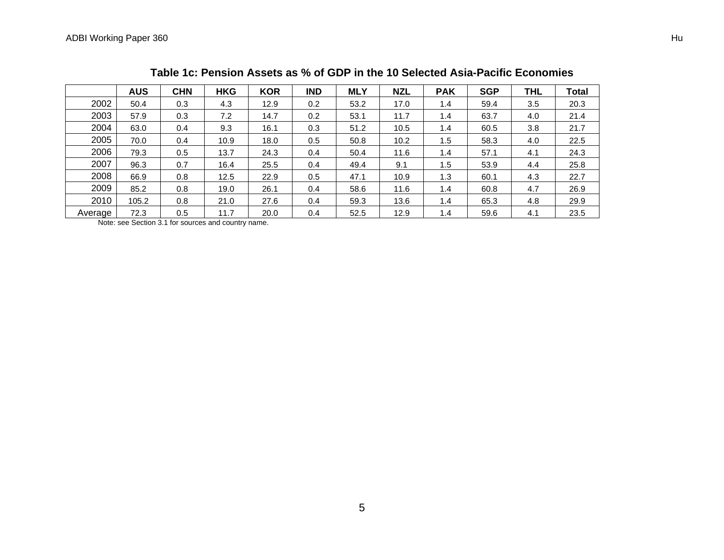|         | <b>AUS</b> | <b>CHN</b> | <b>HKG</b> | <b>KOR</b> | <b>IND</b> | <b>MLY</b> | <b>NZL</b> | <b>PAK</b> | <b>SGP</b> | <b>THL</b> | <b>Total</b> |
|---------|------------|------------|------------|------------|------------|------------|------------|------------|------------|------------|--------------|
| 2002    | 50.4       | 0.3        | 4.3        | 12.9       | 0.2        | 53.2       | 17.0       | 1.4        | 59.4       | 3.5        | 20.3         |
| 2003    | 57.9       | 0.3        | 7.2        | 14.7       | 0.2        | 53.1       | 11.7       | 1.4        | 63.7       | 4.0        | 21.4         |
| 2004    | 63.0       | 0.4        | 9.3        | 16.1       | 0.3        | 51.2       | 10.5       | 1.4        | 60.5       | 3.8        | 21.7         |
| 2005    | 70.0       | 0.4        | 10.9       | 18.0       | 0.5        | 50.8       | 10.2       | 1.5        | 58.3       | 4.0        | 22.5         |
| 2006    | 79.3       | 0.5        | 13.7       | 24.3       | 0.4        | 50.4       | 11.6       | 1.4        | 57.1       | 4.1        | 24.3         |
| 2007    | 96.3       | 0.7        | 16.4       | 25.5       | 0.4        | 49.4       | 9.1        | 1.5        | 53.9       | 4.4        | 25.8         |
| 2008    | 66.9       | 0.8        | 12.5       | 22.9       | 0.5        | 47.1       | 10.9       | 1.3        | 60.1       | 4.3        | 22.7         |
| 2009    | 85.2       | 0.8        | 19.0       | 26.1       | 0.4        | 58.6       | 11.6       | 1.4        | 60.8       | 4.7        | 26.9         |
| 2010    | 105.2      | 0.8        | 21.0       | 27.6       | 0.4        | 59.3       | 13.6       | 1.4        | 65.3       | 4.8        | 29.9         |
| Average | 72.3       | 0.5        | 11.7       | 20.0       | 0.4        | 52.5       | 12.9       | 1.4        | 59.6       | 4.1        | 23.5         |

#### **Table 1c: Pension Assets as % of GDP in the 10 Selected Asia-Pacific Economies**

Note: see Section 3.1 for sources and country name.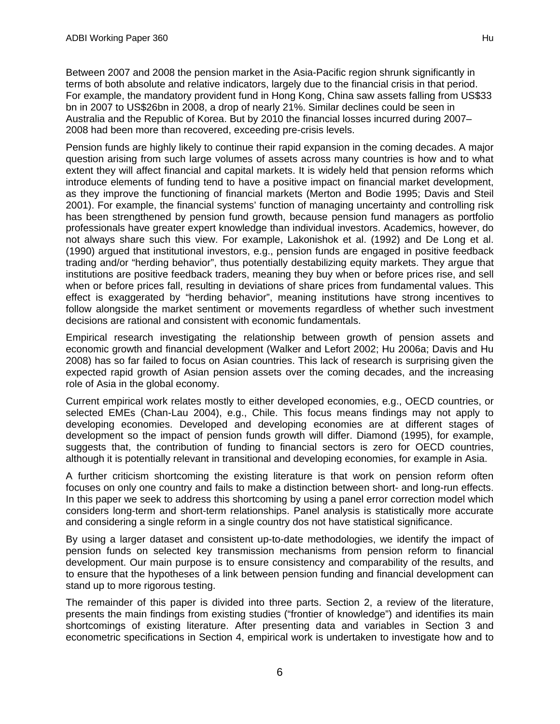Between 2007 and 2008 the pension market in the Asia-Pacific region shrunk significantly in terms of both absolute and relative indicators, largely due to the financial crisis in that period. For example, the mandatory provident fund in Hong Kong, China saw assets falling from US\$33 bn in 2007 to US\$26bn in 2008, a drop of nearly 21%. Similar declines could be seen in Australia and the Republic of Korea. But by 2010 the financial losses incurred during 2007– 2008 had been more than recovered, exceeding pre-crisis levels.

Pension funds are highly likely to continue their rapid expansion in the coming decades. A major question arising from such large volumes of assets across many countries is how and to what extent they will affect financial and capital markets. It is widely held that pension reforms which introduce elements of funding tend to have a positive impact on financial market development, as they improve the functioning of financial markets (Merton and Bodie 1995; Davis and Steil 2001). For example, the financial systems' function of managing uncertainty and controlling risk has been strengthened by pension fund growth, because pension fund managers as portfolio professionals have greater expert knowledge than individual investors. Academics, however, do not always share such this view. For example, Lakonishok et al. (1992) and De Long et al. (1990) argued that institutional investors, e.g., pension funds are engaged in positive feedback trading and/or "herding behavior", thus potentially destabilizing equity markets. They argue that institutions are positive feedback traders, meaning they buy when or before prices rise, and sell when or before prices fall, resulting in deviations of share prices from fundamental values. This effect is exaggerated by "herding behavior", meaning institutions have strong incentives to follow alongside the market sentiment or movements regardless of whether such investment decisions are rational and consistent with economic fundamentals.

Empirical research investigating the relationship between growth of pension assets and economic growth and financial development (Walker and Lefort 2002; Hu 2006a; Davis and Hu 2008) has so far failed to focus on Asian countries. This lack of research is surprising given the expected rapid growth of Asian pension assets over the coming decades, and the increasing role of Asia in the global economy.

Current empirical work relates mostly to either developed economies, e.g., OECD countries, or selected EMEs (Chan-Lau 2004), e.g., Chile. This focus means findings may not apply to developing economies. Developed and developing economies are at different stages of development so the impact of pension funds growth will differ. Diamond (1995), for example, suggests that, the contribution of funding to financial sectors is zero for OECD countries, although it is potentially relevant in transitional and developing economies, for example in Asia.

A further criticism shortcoming the existing literature is that work on pension reform often focuses on only one country and fails to make a distinction between short- and long-run effects. In this paper we seek to address this shortcoming by using a panel error correction model which considers long-term and short-term relationships. Panel analysis is statistically more accurate and considering a single reform in a single country dos not have statistical significance.

By using a larger dataset and consistent up-to-date methodologies, we identify the impact of pension funds on selected key transmission mechanisms from pension reform to financial development. Our main purpose is to ensure consistency and comparability of the results, and to ensure that the hypotheses of a link between pension funding and financial development can stand up to more rigorous testing.

The remainder of this paper is divided into three parts. Section 2, a review of the literature, presents the main findings from existing studies ("frontier of knowledge") and identifies its main shortcomings of existing literature. After presenting data and variables in Section 3 and econometric specifications in Section 4, empirical work is undertaken to investigate how and to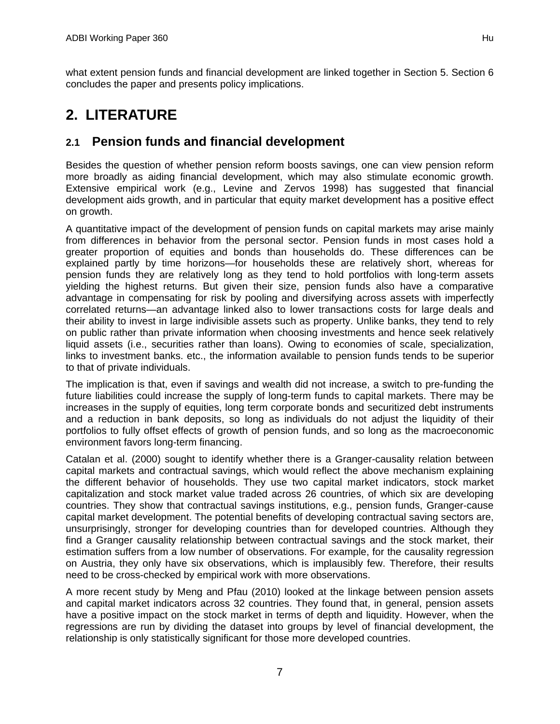what extent pension funds and financial development are linked together in Section 5. Section 6 concludes the paper and presents policy implications.

# **2. LITERATURE**

# **2.1 Pension funds and financial development**

Besides the question of whether pension reform boosts savings, one can view pension reform more broadly as aiding financial development, which may also stimulate economic growth. Extensive empirical work (e.g., Levine and Zervos 1998) has suggested that financial development aids growth, and in particular that equity market development has a positive effect on growth.

A quantitative impact of the development of pension funds on capital markets may arise mainly from differences in behavior from the personal sector. Pension funds in most cases hold a greater proportion of equities and bonds than households do. These differences can be explained partly by time horizons—for households these are relatively short, whereas for pension funds they are relatively long as they tend to hold portfolios with long-term assets yielding the highest returns. But given their size, pension funds also have a comparative advantage in compensating for risk by pooling and diversifying across assets with imperfectly correlated returns—an advantage linked also to lower transactions costs for large deals and their ability to invest in large indivisible assets such as property. Unlike banks, they tend to rely on public rather than private information when choosing investments and hence seek relatively liquid assets (i.e., securities rather than loans). Owing to economies of scale, specialization, links to investment banks. etc., the information available to pension funds tends to be superior to that of private individuals.

The implication is that, even if savings and wealth did not increase, a switch to pre-funding the future liabilities could increase the supply of long-term funds to capital markets. There may be increases in the supply of equities, long term corporate bonds and securitized debt instruments and a reduction in bank deposits, so long as individuals do not adjust the liquidity of their portfolios to fully offset effects of growth of pension funds, and so long as the macroeconomic environment favors long-term financing.

Catalan et al. (2000) sought to identify whether there is a Granger-causality relation between capital markets and contractual savings, which would reflect the above mechanism explaining the different behavior of households. They use two capital market indicators, stock market capitalization and stock market value traded across 26 countries, of which six are developing countries. They show that contractual savings institutions, e.g., pension funds, Granger-cause capital market development. The potential benefits of developing contractual saving sectors are, unsurprisingly, stronger for developing countries than for developed countries. Although they find a Granger causality relationship between contractual savings and the stock market, their estimation suffers from a low number of observations. For example, for the causality regression on Austria, they only have six observations, which is implausibly few. Therefore, their results need to be cross-checked by empirical work with more observations.

A more recent study by Meng and Pfau (2010) looked at the linkage between pension assets and capital market indicators across 32 countries. They found that, in general, pension assets have a positive impact on the stock market in terms of depth and liquidity. However, when the regressions are run by dividing the dataset into groups by level of financial development, the relationship is only statistically significant for those more developed countries.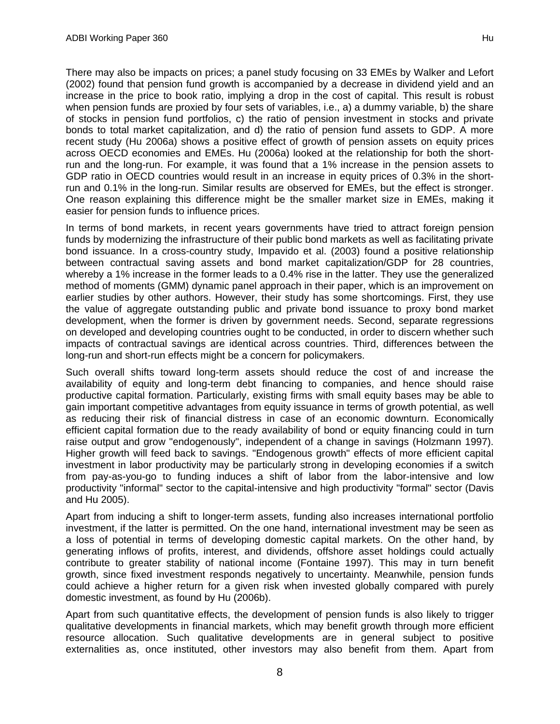There may also be impacts on prices; a panel study focusing on 33 EMEs by Walker and Lefort (2002) found that pension fund growth is accompanied by a decrease in dividend yield and an increase in the price to book ratio, implying a drop in the cost of capital. This result is robust when pension funds are proxied by four sets of variables, i.e., a) a dummy variable, b) the share of stocks in pension fund portfolios, c) the ratio of pension investment in stocks and private bonds to total market capitalization, and d) the ratio of pension fund assets to GDP. A more recent study (Hu 2006a) shows a positive effect of growth of pension assets on equity prices across OECD economies and EMEs. Hu (2006a) looked at the relationship for both the shortrun and the long-run. For example, it was found that a 1% increase in the pension assets to GDP ratio in OECD countries would result in an increase in equity prices of 0.3% in the shortrun and 0.1% in the long-run. Similar results are observed for EMEs, but the effect is stronger. One reason explaining this difference might be the smaller market size in EMEs, making it easier for pension funds to influence prices.

In terms of bond markets, in recent years governments have tried to attract foreign pension funds by modernizing the infrastructure of their public bond markets as well as facilitating private bond issuance. In a cross-country study, Impavido et al. (2003) found a positive relationship between contractual saving assets and bond market capitalization/GDP for 28 countries, whereby a 1% increase in the former leads to a 0.4% rise in the latter. They use the generalized method of moments (GMM) dynamic panel approach in their paper, which is an improvement on earlier studies by other authors. However, their study has some shortcomings. First, they use the value of aggregate outstanding public and private bond issuance to proxy bond market development, when the former is driven by government needs. Second, separate regressions on developed and developing countries ought to be conducted, in order to discern whether such impacts of contractual savings are identical across countries. Third, differences between the long-run and short-run effects might be a concern for policymakers.

Such overall shifts toward long-term assets should reduce the cost of and increase the availability of equity and long-term debt financing to companies, and hence should raise productive capital formation. Particularly, existing firms with small equity bases may be able to gain important competitive advantages from equity issuance in terms of growth potential, as well as reducing their risk of financial distress in case of an economic downturn. Economically efficient capital formation due to the ready availability of bond or equity financing could in turn raise output and grow "endogenously", independent of a change in savings (Holzmann 1997). Higher growth will feed back to savings. "Endogenous growth" effects of more efficient capital investment in labor productivity may be particularly strong in developing economies if a switch from pay-as-you-go to funding induces a shift of labor from the labor-intensive and low productivity "informal" sector to the capital-intensive and high productivity "formal" sector (Davis and Hu 2005).

Apart from inducing a shift to longer-term assets, funding also increases international portfolio investment, if the latter is permitted. On the one hand, international investment may be seen as a loss of potential in terms of developing domestic capital markets. On the other hand, by generating inflows of profits, interest, and dividends, offshore asset holdings could actually contribute to greater stability of national income (Fontaine 1997). This may in turn benefit growth, since fixed investment responds negatively to uncertainty. Meanwhile, pension funds could achieve a higher return for a given risk when invested globally compared with purely domestic investment, as found by Hu (2006b).

Apart from such quantitative effects, the development of pension funds is also likely to trigger qualitative developments in financial markets, which may benefit growth through more efficient resource allocation. Such qualitative developments are in general subject to positive externalities as, once instituted, other investors may also benefit from them. Apart from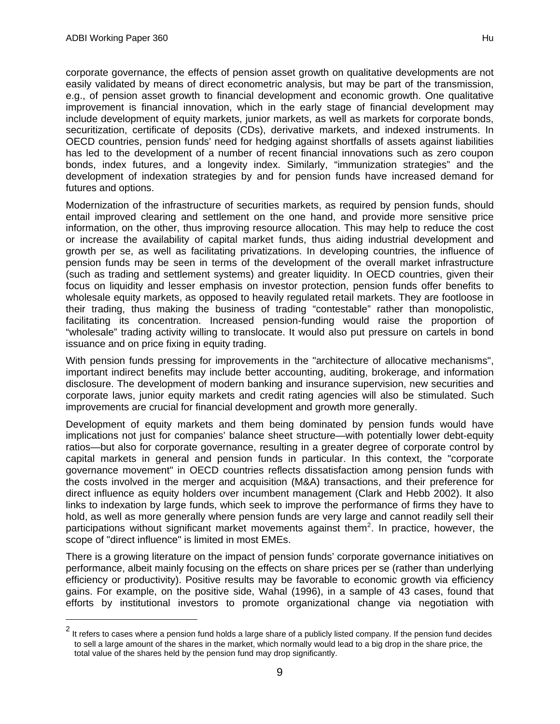corporate governance, the effects of pension asset growth on qualitative developments are not easily validated by means of direct econometric analysis, but may be part of the transmission, e.g., of pension asset growth to financial development and economic growth. One qualitative improvement is financial innovation, which in the early stage of financial development may include development of equity markets, junior markets, as well as markets for corporate bonds, securitization, certificate of deposits (CDs), derivative markets, and indexed instruments. In OECD countries, pension funds' need for hedging against shortfalls of assets against liabilities has led to the development of a number of recent financial innovations such as zero coupon bonds, index futures, and a longevity index. Similarly, "immunization strategies" and the development of indexation strategies by and for pension funds have increased demand for futures and options.

Modernization of the infrastructure of securities markets, as required by pension funds, should entail improved clearing and settlement on the one hand, and provide more sensitive price information, on the other, thus improving resource allocation. This may help to reduce the cost or increase the availability of capital market funds, thus aiding industrial development and growth per se, as well as facilitating privatizations. In developing countries, the influence of pension funds may be seen in terms of the development of the overall market infrastructure (such as trading and settlement systems) and greater liquidity. In OECD countries, given their focus on liquidity and lesser emphasis on investor protection, pension funds offer benefits to wholesale equity markets, as opposed to heavily regulated retail markets. They are footloose in their trading, thus making the business of trading "contestable" rather than monopolistic, facilitating its concentration. Increased pension-funding would raise the proportion of "wholesale" trading activity willing to translocate. It would also put pressure on cartels in bond issuance and on price fixing in equity trading.

With pension funds pressing for improvements in the "architecture of allocative mechanisms", important indirect benefits may include better accounting, auditing, brokerage, and information disclosure. The development of modern banking and insurance supervision, new securities and corporate laws, junior equity markets and credit rating agencies will also be stimulated. Such improvements are crucial for financial development and growth more generally.

Development of equity markets and them being dominated by pension funds would have implications not just for companies' balance sheet structure—with potentially lower debt-equity ratios—but also for corporate governance, resulting in a greater degree of corporate control by capital markets in general and pension funds in particular. In this context, the "corporate governance movement" in OECD countries reflects dissatisfaction among pension funds with the costs involved in the merger and acquisition (M&A) transactions, and their preference for direct influence as equity holders over incumbent management (Clark and Hebb 2002). It also links to indexation by large funds, which seek to improve the performance of firms they have to hold, as well as more generally where pension funds are very large and cannot readily sell their participations without significant market movements against them<sup>2</sup>. In practice, however, the scope of "direct influence" is limited in most EMEs.

There is a growing literature on the impact of pension funds' corporate governance initiatives on performance, albeit mainly focusing on the effects on share prices per se (rather than underlying efficiency or productivity). Positive results may be favorable to economic growth via efficiency gains. For example, on the positive side, Wahal (1996), in a sample of 43 cases, found that efforts by institutional investors to promote organizational change via negotiation with

 $^2$  It refers to cases where a pension fund holds a large share of a publicly listed company. If the pension fund decides to sell a large amount of the shares in the market, which normally would lead to a big drop in the share price, the total value of the shares held by the pension fund may drop significantly.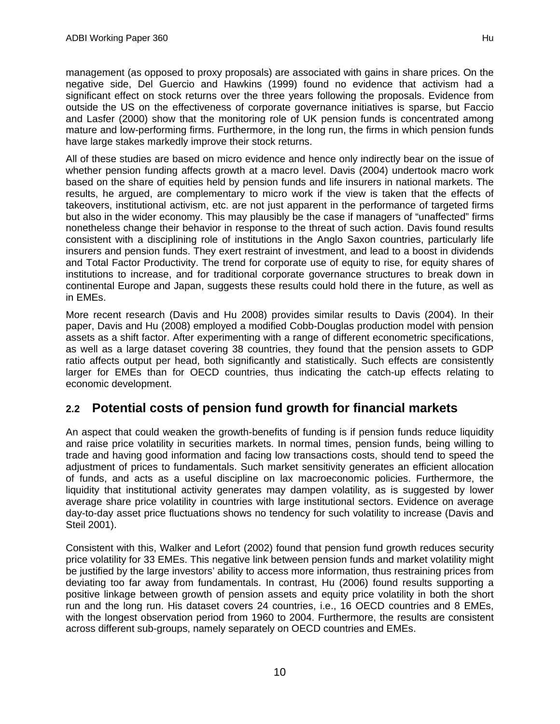management (as opposed to proxy proposals) are associated with gains in share prices. On the negative side, Del Guercio and Hawkins (1999) found no evidence that activism had a significant effect on stock returns over the three years following the proposals. Evidence from outside the US on the effectiveness of corporate governance initiatives is sparse, but Faccio and Lasfer (2000) show that the monitoring role of UK pension funds is concentrated among mature and low-performing firms. Furthermore, in the long run, the firms in which pension funds have large stakes markedly improve their stock returns.

All of these studies are based on micro evidence and hence only indirectly bear on the issue of whether pension funding affects growth at a macro level. Davis (2004) undertook macro work based on the share of equities held by pension funds and life insurers in national markets. The results, he argued, are complementary to micro work if the view is taken that the effects of takeovers, institutional activism, etc. are not just apparent in the performance of targeted firms but also in the wider economy. This may plausibly be the case if managers of "unaffected" firms nonetheless change their behavior in response to the threat of such action. Davis found results consistent with a disciplining role of institutions in the Anglo Saxon countries, particularly life insurers and pension funds. They exert restraint of investment, and lead to a boost in dividends and Total Factor Productivity. The trend for corporate use of equity to rise, for equity shares of institutions to increase, and for traditional corporate governance structures to break down in continental Europe and Japan, suggests these results could hold there in the future, as well as in EMEs.

More recent research (Davis and Hu 2008) provides similar results to Davis (2004). In their paper, Davis and Hu (2008) employed a modified Cobb-Douglas production model with pension assets as a shift factor. After experimenting with a range of different econometric specifications, as well as a large dataset covering 38 countries, they found that the pension assets to GDP ratio affects output per head, both significantly and statistically. Such effects are consistently larger for EMEs than for OECD countries, thus indicating the catch-up effects relating to economic development.

## **2.2 Potential costs of pension fund growth for financial markets**

An aspect that could weaken the growth-benefits of funding is if pension funds reduce liquidity and raise price volatility in securities markets. In normal times, pension funds, being willing to trade and having good information and facing low transactions costs, should tend to speed the adjustment of prices to fundamentals. Such market sensitivity generates an efficient allocation of funds, and acts as a useful discipline on lax macroeconomic policies. Furthermore, the liquidity that institutional activity generates may dampen volatility, as is suggested by lower average share price volatility in countries with large institutional sectors. Evidence on average day-to-day asset price fluctuations shows no tendency for such volatility to increase (Davis and Steil 2001).

Consistent with this, Walker and Lefort (2002) found that pension fund growth reduces security price volatility for 33 EMEs. This negative link between pension funds and market volatility might be justified by the large investors' ability to access more information, thus restraining prices from deviating too far away from fundamentals. In contrast, Hu (2006) found results supporting a positive linkage between growth of pension assets and equity price volatility in both the short run and the long run. His dataset covers 24 countries, i.e., 16 OECD countries and 8 EMEs, with the longest observation period from 1960 to 2004. Furthermore, the results are consistent across different sub-groups, namely separately on OECD countries and EMEs.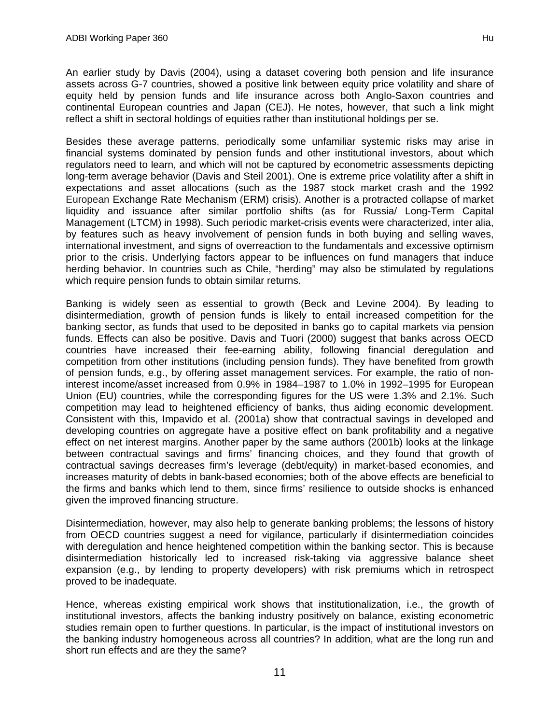An earlier study by Davis (2004), using a dataset covering both pension and life insurance assets across G-7 countries, showed a positive link between equity price volatility and share of equity held by pension funds and life insurance across both Anglo-Saxon countries and continental European countries and Japan (CEJ). He notes, however, that such a link might reflect a shift in sectoral holdings of equities rather than institutional holdings per se.

Besides these average patterns, periodically some unfamiliar systemic risks may arise in financial systems dominated by pension funds and other institutional investors, about which regulators need to learn, and which will not be captured by econometric assessments depicting long-term average behavior (Davis and Steil 2001). One is extreme price volatility after a shift in expectations and asset allocations (such as the 1987 stock market crash and the 1992 European Exchange Rate Mechanism (ERM) crisis). Another is a protracted collapse of market liquidity and issuance after similar portfolio shifts (as for Russia/ Long-Term Capital Management (LTCM) in 1998). Such periodic market-crisis events were characterized, inter alia, by features such as heavy involvement of pension funds in both buying and selling waves, international investment, and signs of overreaction to the fundamentals and excessive optimism prior to the crisis. Underlying factors appear to be influences on fund managers that induce herding behavior. In countries such as Chile, "herding" may also be stimulated by regulations which require pension funds to obtain similar returns.

Banking is widely seen as essential to growth (Beck and Levine 2004). By leading to disintermediation, growth of pension funds is likely to entail increased competition for the banking sector, as funds that used to be deposited in banks go to capital markets via pension funds. Effects can also be positive. Davis and Tuori (2000) suggest that banks across OECD countries have increased their fee-earning ability, following financial deregulation and competition from other institutions (including pension funds). They have benefited from growth of pension funds, e.g., by offering asset management services. For example, the ratio of noninterest income/asset increased from 0.9% in 1984–1987 to 1.0% in 1992–1995 for European Union (EU) countries, while the corresponding figures for the US were 1.3% and 2.1%. Such competition may lead to heightened efficiency of banks, thus aiding economic development. Consistent with this, Impavido et al. (2001a) show that contractual savings in developed and developing countries on aggregate have a positive effect on bank profitability and a negative effect on net interest margins. Another paper by the same authors (2001b) looks at the linkage between contractual savings and firms' financing choices, and they found that growth of contractual savings decreases firm's leverage (debt/equity) in market-based economies, and increases maturity of debts in bank-based economies; both of the above effects are beneficial to the firms and banks which lend to them, since firms' resilience to outside shocks is enhanced given the improved financing structure.

Disintermediation, however, may also help to generate banking problems; the lessons of history from OECD countries suggest a need for vigilance, particularly if disintermediation coincides with deregulation and hence heightened competition within the banking sector. This is because disintermediation historically led to increased risk-taking via aggressive balance sheet expansion (e.g., by lending to property developers) with risk premiums which in retrospect proved to be inadequate.

Hence, whereas existing empirical work shows that institutionalization, i.e., the growth of institutional investors, affects the banking industry positively on balance, existing econometric studies remain open to further questions. In particular, is the impact of institutional investors on the banking industry homogeneous across all countries? In addition, what are the long run and short run effects and are they the same?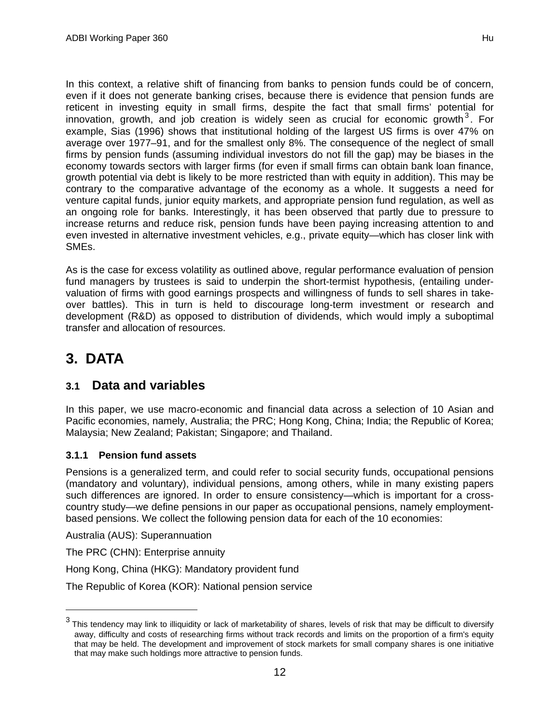In this context, a relative shift of financing from banks to pension funds could be of concern, even if it does not generate banking crises, because there is evidence that pension funds are reticent in investing equity in small firms, despite the fact that small firms' potential for innovation, growth, and job creation is widely seen as crucial for economic growth<sup>3</sup>. For example, Sias (1996) shows that institutional holding of the largest US firms is over 47% on average over 1977–91, and for the smallest only 8%. The consequence of the neglect of small firms by pension funds (assuming individual investors do not fill the gap) may be biases in the economy towards sectors with larger firms (for even if small firms can obtain bank loan finance, growth potential via debt is likely to be more restricted than with equity in addition). This may be contrary to the comparative advantage of the economy as a whole. It suggests a need for venture capital funds, junior equity markets, and appropriate pension fund regulation, as well as an ongoing role for banks. Interestingly, it has been observed that partly due to pressure to increase returns and reduce risk, pension funds have been paying increasing attention to and even invested in alternative investment vehicles, e.g., private equity—which has closer link with SMEs.

As is the case for excess volatility as outlined above, regular performance evaluation of pension fund managers by trustees is said to underpin the short-termist hypothesis, (entailing undervaluation of firms with good earnings prospects and willingness of funds to sell shares in takeover battles). This in turn is held to discourage long-term investment or research and development (R&D) as opposed to distribution of dividends, which would imply a suboptimal transfer and allocation of resources.

# **3. DATA**

## **3.1 Data and variables**

In this paper, we use macro-economic and financial data across a selection of 10 Asian and Pacific economies, namely, Australia; the PRC; Hong Kong, China; India; the Republic of Korea; Malaysia; New Zealand; Pakistan; Singapore; and Thailand.

### **3.1.1 Pension fund assets**

Pensions is a generalized term, and could refer to social security funds, occupational pensions (mandatory and voluntary), individual pensions, among others, while in many existing papers such differences are ignored. In order to ensure consistency—which is important for a crosscountry study—we define pensions in our paper as occupational pensions, namely employmentbased pensions. We collect the following pension data for each of the 10 economies:

Australia (AUS): Superannuation

The PRC (CHN): Enterprise annuity

Hong Kong, China (HKG): Mandatory provident fund

The Republic of Korea (KOR): National pension service

 $^3$  This tendency may link to illiquidity or lack of marketability of shares, levels of risk that may be difficult to diversify away, difficulty and costs of researching firms without track records and limits on the proportion of a firm's equity that may be held. The development and improvement of stock markets for small company shares is one initiative that may make such holdings more attractive to pension funds.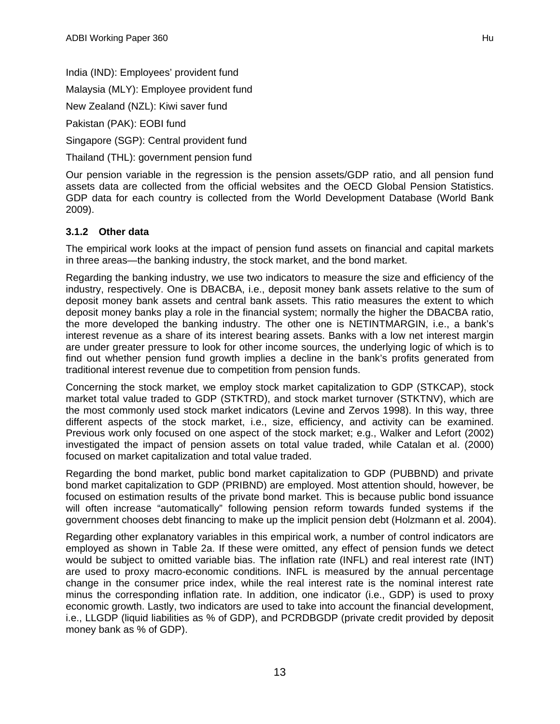India (IND): Employees' provident fund

Malaysia (MLY): Employee provident fund

New Zealand (NZL): Kiwi saver fund

Pakistan (PAK): EOBI fund

Singapore (SGP): Central provident fund

Thailand (THL): government pension fund

Our pension variable in the regression is the pension assets/GDP ratio, and all pension fund assets data are collected from the official websites and the OECD Global Pension Statistics. GDP data for each country is collected from the World Development Database (World Bank 2009).

### **3.1.2 Other data**

The empirical work looks at the impact of pension fund assets on financial and capital markets in three areas—the banking industry, the stock market, and the bond market.

Regarding the banking industry, we use two indicators to measure the size and efficiency of the industry, respectively. One is DBACBA, i.e., deposit money bank assets relative to the sum of deposit money bank assets and central bank assets. This ratio measures the extent to which deposit money banks play a role in the financial system; normally the higher the DBACBA ratio, the more developed the banking industry. The other one is NETINTMARGIN, i.e., a bank's interest revenue as a share of its interest bearing assets. Banks with a low net interest margin are under greater pressure to look for other income sources, the underlying logic of which is to find out whether pension fund growth implies a decline in the bank's profits generated from traditional interest revenue due to competition from pension funds.

Concerning the stock market, we employ stock market capitalization to GDP (STKCAP), stock market total value traded to GDP (STKTRD), and stock market turnover (STKTNV), which are the most commonly used stock market indicators (Levine and Zervos 1998). In this way, three different aspects of the stock market, i.e., size, efficiency, and activity can be examined. Previous work only focused on one aspect of the stock market; e.g., Walker and Lefort (2002) investigated the impact of pension assets on total value traded, while Catalan et al. (2000) focused on market capitalization and total value traded.

Regarding the bond market, public bond market capitalization to GDP (PUBBND) and private bond market capitalization to GDP (PRIBND) are employed. Most attention should, however, be focused on estimation results of the private bond market. This is because public bond issuance will often increase "automatically" following pension reform towards funded systems if the government chooses debt financing to make up the implicit pension debt (Holzmann et al. 2004).

Regarding other explanatory variables in this empirical work, a number of control indicators are employed as shown in Table 2a. If these were omitted, any effect of pension funds we detect would be subject to omitted variable bias. The inflation rate (INFL) and real interest rate (INT) are used to proxy macro-economic conditions. INFL is measured by the annual percentage change in the consumer price index, while the real interest rate is the nominal interest rate minus the corresponding inflation rate. In addition, one indicator (i.e., GDP) is used to proxy economic growth. Lastly, two indicators are used to take into account the financial development, i.e., LLGDP (liquid liabilities as % of GDP), and PCRDBGDP (private credit provided by deposit money bank as % of GDP).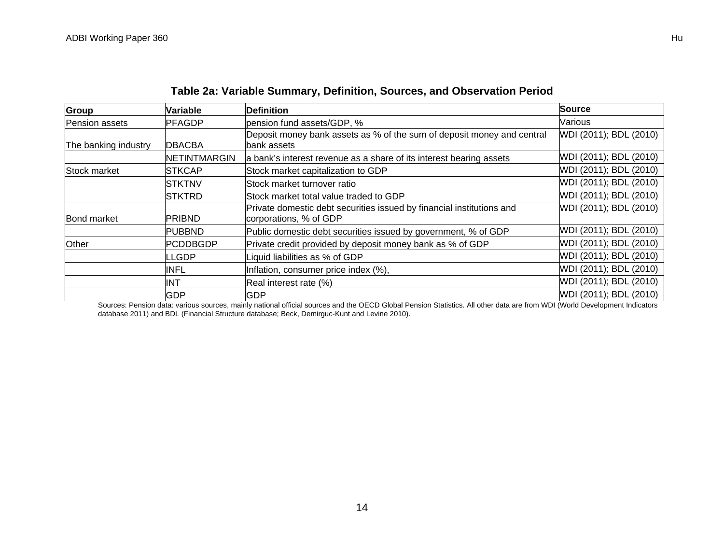| Group                | Variable        | <b>Definition</b>                                                                               | <b>Source</b>          |
|----------------------|-----------------|-------------------------------------------------------------------------------------------------|------------------------|
| Pension assets       | PFAGDP          | pension fund assets/GDP, %                                                                      | Various                |
| The banking industry | <b>DBACBA</b>   | Deposit money bank assets as % of the sum of deposit money and central<br>bank assets           | WDI (2011); BDL (2010) |
|                      | NETINTMARGIN    | a bank's interest revenue as a share of its interest bearing assets                             | WDI (2011); BDL (2010) |
| Stock market         | <b>STKCAP</b>   | Stock market capitalization to GDP                                                              | WDI (2011); BDL (2010) |
|                      | <b>STKTNV</b>   | Stock market turnover ratio                                                                     | WDI (2011); BDL (2010) |
|                      | <b>STKTRD</b>   | Stock market total value traded to GDP                                                          | WDI (2011); BDL (2010) |
| Bond market          | <b>PRIBND</b>   | Private domestic debt securities issued by financial institutions and<br>corporations, % of GDP | WDI (2011); BDL (2010) |
|                      | <b>PUBBND</b>   | Public domestic debt securities issued by government, % of GDP                                  | WDI (2011); BDL (2010) |
| Other                | <b>PCDDBGDP</b> | Private credit provided by deposit money bank as % of GDP                                       | WDI (2011); BDL (2010) |
|                      | <b>LGDP</b>     | Liquid liabilities as % of GDP                                                                  | WDI (2011); BDL (2010) |
|                      | INFL            | Inflation, consumer price index (%),                                                            | WDI (2011); BDL (2010) |
|                      | INT             | Real interest rate (%)                                                                          | WDI (2011); BDL (2010) |
|                      | <b>GDP</b>      | <b>GDP</b>                                                                                      | WDI (2011); BDL (2010) |

## **Table 2a: Variable Summary, Definition, Sources, and Observation Period**

Sources: Pension data: various sources, mainly national official sources and the OECD Global Pension Statistics. All other data are from WDI (World Development Indicators database 2011) and BDL (Financial Structure database; Beck, Demirguc-Kunt and Levine 2010).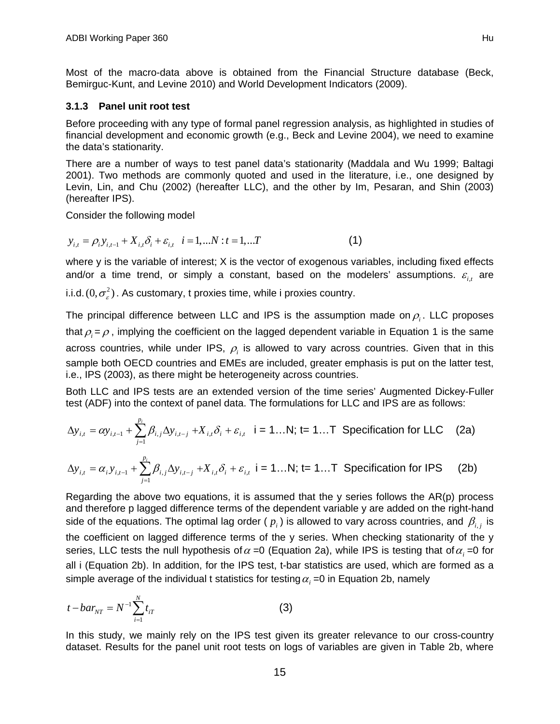Most of the macro-data above is obtained from the Financial Structure database (Beck, Bemirguc-Kunt, and Levine 2010) and World Development Indicators (2009).

#### **3.1.3 Panel unit root test**

Before proceeding with any type of formal panel regression analysis, as highlighted in studies of financial development and economic growth (e.g., Beck and Levine 2004), we need to examine the data's stationarity.

There are a number of ways to test panel data's stationarity (Maddala and Wu 1999; Baltagi 2001). Two methods are commonly quoted and used in the literature, i.e., one designed by Levin, Lin, and Chu (2002) (hereafter LLC), and the other by Im, Pesaran, and Shin (2003) (hereafter IPS).

Consider the following model

$$
y_{i,t} = \rho_i y_{i,t-1} + X_{i,t} \delta_i + \varepsilon_{i,t} \quad i = 1,...N : t = 1,...T
$$
 (1)

where y is the variable of interest; X is the vector of exogenous variables, including fixed effects and/or a time trend, or simply a constant, based on the modelers' assumptions.  $\varepsilon_{i,t}$  are

i.i.d.  $(0, \sigma^2)$ . As customary, t proxies time, while i proxies country.

The principal difference between LLC and IPS is the assumption made on  $\rho_i$ . LLC proposes that  $\rho = \rho$ , implying the coefficient on the lagged dependent variable in Equation 1 is the same across countries, while under IPS,  $\rho_i$  is allowed to vary across countries. Given that in this sample both OECD countries and EMEs are included, greater emphasis is put on the latter test, i.e., IPS (2003), as there might be heterogeneity across countries.

Both LLC and IPS tests are an extended version of the time series' Augmented Dickey-Fuller test (ADF) into the context of panel data. The formulations for LLC and IPS are as follows:

$$
\Delta y_{i,t} = \alpha y_{i,t-1} + \sum_{j=1}^{p_i} \beta_{i,j} \Delta y_{i,t-j} + X_{i,t} \delta_i + \varepsilon_{i,t} \quad i = 1...N; \ t = 1...T \quad \text{Specification for LLC} \tag{2a}
$$

$$
\Delta y_{i,t} = \alpha_i y_{i,t-1} + \sum_{j=1}^{p_i} \beta_{i,j} \Delta y_{i,t-j} + X_{i,t} \delta_i + \varepsilon_{i,t} \quad i = 1...N; \quad t = 1...T \quad \text{Specialation for IPS} \tag{2b}
$$

Regarding the above two equations, it is assumed that the y series follows the  $AR(p)$  process and therefore p lagged difference terms of the dependent variable y are added on the right-hand side of the equations. The optimal lag order ( $p_i$ ) is allowed to vary across countries, and  $\beta_i$ , is the coefficient on lagged difference terms of the y series. When checking stationarity of the y series, LLC tests the null hypothesis of  $\alpha$  =0 (Equation 2a), while IPS is testing that of  $\alpha$ , =0 for all i (Equation 2b). In addition, for the IPS test, t-bar statistics are used, which are formed as a simple average of the individual t statistics for testing  $\alpha_i = 0$  in Equation 2b, namely

$$
t - bar_{NT} = N^{-1} \sum_{i=1}^{N} t_{iT}
$$
 (3)

In this study, we mainly rely on the IPS test given its greater relevance to our cross-country dataset. Results for the panel unit root tests on logs of variables are given in Table 2b, where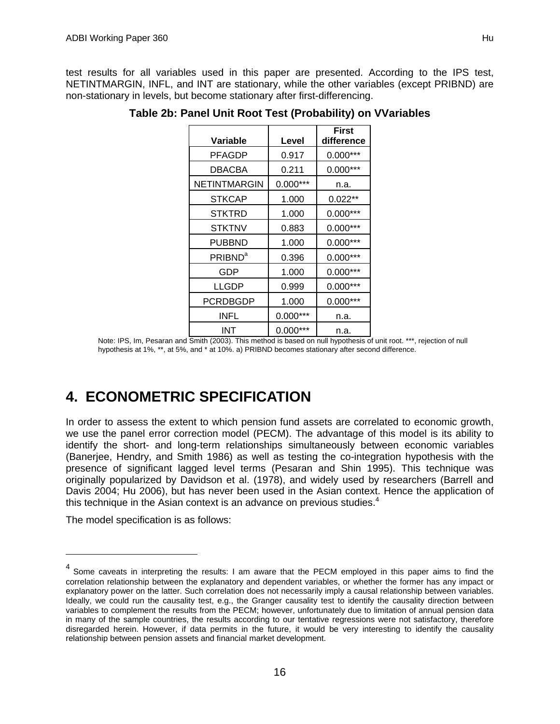test results for all variables used in this paper are presented. According to the IPS test, NETINTMARGIN, INFL, and INT are stationary, while the other variables (except PRIBND) are non-stationary in levels, but become stationary after first-differencing.

|                     |            | First      |
|---------------------|------------|------------|
| Variable            | Level      | difference |
| PFAGDP              | 0.917      | $0.000***$ |
| <b>DBACBA</b>       | 0.211      | $0.000***$ |
| NETINTMARGIN        | $0.000***$ | n.a.       |
| <b>STKCAP</b>       | 1.000      | $0.022**$  |
| <b>STKTRD</b>       | 1.000      | $0.000***$ |
| STKTNV              | 0.883      | $0.000***$ |
| PUBBND              | 1.000      | $0.000***$ |
| PRIBND <sup>a</sup> | 0.396      | $0.000***$ |
| GDP                 | 1.000      | $0.000***$ |
| LLGDP               | 0.999      | $0.000***$ |
| PCRDBGDP            | 1.000      | $0.000***$ |
| INFL                | $0.000***$ | n.a.       |
| INT                 | $0.000***$ | n.a.       |

**Table 2b: Panel Unit Root Test (Probability) on VVariables** 

Note: IPS, Im, Pesaran and Smith (2003). This method is based on null hypothesis of unit root. \*\*\*, rejection of null hypothesis at 1%, \*\*, at 5%, and \* at 10%. a) PRIBND becomes stationary after second difference.

# **4. ECONOMETRIC SPECIFICATION**

In order to assess the extent to which pension fund assets are correlated to economic growth, we use the panel error correction model (PECM). The advantage of this model is its ability to identify the short- and long-term relationships simultaneously between economic variables (Banerjee, Hendry, and Smith 1986) as well as testing the co-integration hypothesis with the presence of significant lagged level terms (Pesaran and Shin 1995). This technique was originally popularized by Davidson et al. (1978), and widely used by researchers (Barrell and Davis 2004; Hu 2006), but has never been used in the Asian context. Hence the application of this technique in the Asian context is an advance on previous studies. $4$ 

The model specification is as follows:

<sup>&</sup>lt;sup>4</sup> Some caveats in interpreting the results: I am aware that the PECM employed in this paper aims to find the correlation relationship between the explanatory and dependent variables, or whether the former has any impact or explanatory power on the latter. Such correlation does not necessarily imply a causal relationship between variables. Ideally, we could run the causality test, e.g., the Granger causality test to identify the causality direction between variables to complement the results from the PECM; however, unfortunately due to limitation of annual pension data in many of the sample countries, the results according to our tentative regressions were not satisfactory, therefore disregarded herein. However, if data permits in the future, it would be very interesting to identify the causality relationship between pension assets and financial market development.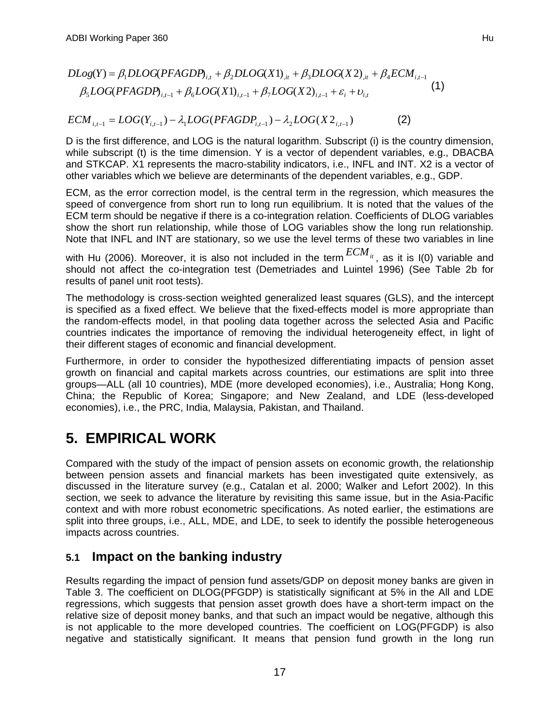$$
DLog(Y) = \beta_1 DLOG(PFAGDP)_{i,t} + \beta_2 DLOG(X1)_{i,t} + \beta_3 DLOG(X2)_{i,t} + \beta_4 ECM_{i,t-1}
$$
  

$$
\beta_5 LOG(PFAGDP)_{i,t-1} + \beta_6 LOG(X1)_{i,t-1} + \beta_7 LOG(X2)_{i,t-1} + \varepsilon_i + \nu_{i,t}
$$
 (1)

$$
ECM_{i,t-1} = LOG(Y_{i,t-1}) - \lambda_1 LOG(PFAGDP_{i,t-1}) - \lambda_2 LOG(X2_{i,t-1})
$$
\n(2)

D is the first difference, and LOG is the natural logarithm. Subscript (i) is the country dimension, while subscript (t) is the time dimension. Y is a vector of dependent variables, e.g., DBACBA and STKCAP. X1 represents the macro-stability indicators, i.e., INFL and INT. X2 is a vector of other variables which we believe are determinants of the dependent variables, e.g., GDP.

ECM, as the error correction model, is the central term in the regression, which measures the speed of convergence from short run to long run equilibrium. It is noted that the values of the ECM term should be negative if there is a co-integration relation. Coefficients of DLOG variables show the short run relationship, while those of LOG variables show the long run relationship. Note that INFL and INT are stationary, so we use the level terms of these two variables in line

with Hu (2006). Moreover, it is also not included in the term  $ECM_{it}$ , as it is I(0) variable and should not affect the co-integration test (Demetriades and Luintel 1996) (See Table 2b for results of panel unit root tests).

The methodology is cross-section weighted generalized least squares (GLS), and the intercept is specified as a fixed effect. We believe that the fixed-effects model is more appropriate than the random-effects model, in that pooling data together across the selected Asia and Pacific countries indicates the importance of removing the individual heterogeneity effect, in light of their different stages of economic and financial development.

Furthermore, in order to consider the hypothesized differentiating impacts of pension asset growth on financial and capital markets across countries, our estimations are split into three groups—ALL (all 10 countries), MDE (more developed economies), i.e., Australia; Hong Kong, China; the Republic of Korea; Singapore; and New Zealand, and LDE (less-developed economies), i.e., the PRC, India, Malaysia, Pakistan, and Thailand.

# **5. EMPIRICAL WORK**

Compared with the study of the impact of pension assets on economic growth, the relationship between pension assets and financial markets has been investigated quite extensively, as discussed in the literature survey (e.g., Catalan et al. 2000; Walker and Lefort 2002). In this section, we seek to advance the literature by revisiting this same issue, but in the Asia-Pacific context and with more robust econometric specifications. As noted earlier, the estimations are split into three groups, i.e., ALL, MDE, and LDE, to seek to identify the possible heterogeneous impacts across countries.

## **5.1 Impact on the banking industry**

Results regarding the impact of pension fund assets/GDP on deposit money banks are given in Table 3. The coefficient on DLOG(PFGDP) is statistically significant at 5% in the All and LDE regressions, which suggests that pension asset growth does have a short-term impact on the relative size of deposit money banks, and that such an impact would be negative, although this is not applicable to the more developed countries. The coefficient on LOG(PFGDP) is also negative and statistically significant. It means that pension fund growth in the long run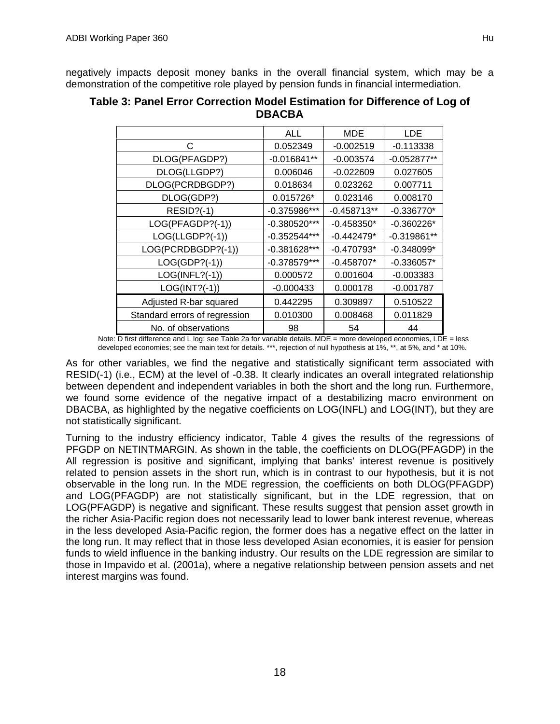|                               | ALL            | MDE           | LDE           |
|-------------------------------|----------------|---------------|---------------|
| C                             | 0.052349       | $-0.002519$   | $-0.113338$   |
| DLOG(PFAGDP?)                 | $-0.016841**$  | $-0.003574$   | $-0.052877**$ |
| DLOG(LLGDP?)                  | 0.006046       | $-0.022609$   | 0.027605      |
| DLOG(PCRDBGDP?)               | 0.018634       | 0.023262      | 0.007711      |
| DLOG(GDP?)                    | 0.015726*      | 0.023146      | 0.008170      |
| $RESID?(-1)$                  | $-0.375986***$ | $-0.458713**$ | $-0.336770*$  |
| LOG(PFAGDP?(-1))              | $-0.380520***$ | $-0.458350*$  | $-0.360226*$  |
| LOG(LLGDP?(-1))               | $-0.352544***$ | $-0.442479*$  | $-0.319861**$ |
| LOG(PCRDBGDP?(-1))            | $-0.381628***$ | $-0.470793*$  | $-0.348099*$  |
| $LOG(GDP?(-1))$               | $-0.378579***$ | $-0.458707*$  | $-0.336057*$  |
| $LOG(INFL?(-1))$              | 0.000572       | 0.001604      | $-0.003383$   |
| $LOG(INT?(-1))$               | $-0.000433$    | 0.000178      | $-0.001787$   |
| Adjusted R-bar squared        | 0.442295       | 0.309897      | 0.510522      |
| Standard errors of regression | 0.010300       | 0.008468      | 0.011829      |
| No. of observations           | 98             | 54            | 44            |

| Table 3: Panel Error Correction Model Estimation for Difference of Log of |
|---------------------------------------------------------------------------|
| <b>DBACBA</b>                                                             |

Note: D first difference and L log; see Table 2a for variable details. MDE = more developed economies, LDE = less developed economies; see the main text for details. \*\*\*, rejection of null hypothesis at 1%, \*\*, at 5%, and \* at 10%.

As for other variables, we find the negative and statistically significant term associated with RESID(-1) (i.e., ECM) at the level of -0.38. It clearly indicates an overall integrated relationship between dependent and independent variables in both the short and the long run. Furthermore, we found some evidence of the negative impact of a destabilizing macro environment on DBACBA, as highlighted by the negative coefficients on LOG(INFL) and LOG(INT), but they are not statistically significant.

Turning to the industry efficiency indicator, Table 4 gives the results of the regressions of PFGDP on NETINTMARGIN. As shown in the table, the coefficients on DLOG(PFAGDP) in the All regression is positive and significant, implying that banks' interest revenue is positively related to pension assets in the short run, which is in contrast to our hypothesis, but it is not observable in the long run. In the MDE regression, the coefficients on both DLOG(PFAGDP) and LOG(PFAGDP) are not statistically significant, but in the LDE regression, that on LOG(PFAGDP) is negative and significant. These results suggest that pension asset growth in the richer Asia-Pacific region does not necessarily lead to lower bank interest revenue, whereas in the less developed Asia-Pacific region, the former does has a negative effect on the latter in the long run. It may reflect that in those less developed Asian economies, it is easier for pension funds to wield influence in the banking industry. Our results on the LDE regression are similar to those in Impavido et al. (2001a), where a negative relationship between pension assets and net interest margins was found.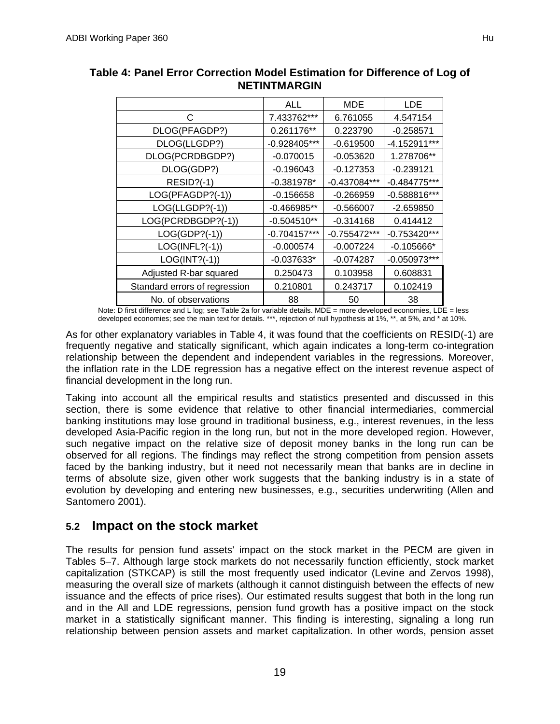|                               | ALL            | MDE            | <b>LDE</b>     |
|-------------------------------|----------------|----------------|----------------|
| C                             | 7.433762***    | 6.761055       | 4.547154       |
| DLOG(PFAGDP?)                 | 0.261176**     | 0.223790       | $-0.258571$    |
| DLOG(LLGDP?)                  | -0.928405***   | $-0.619500$    | $-4.152911***$ |
| DLOG(PCRDBGDP?)               | $-0.070015$    | $-0.053620$    | 1.278706**     |
| DLOG(GDP?)                    | $-0.196043$    | $-0.127353$    | $-0.239121$    |
| <b>RESID?(-1)</b>             | $-0.381978*$   | $-0.437084***$ | $-0.484775***$ |
| LOG(PFAGDP?(-1))              | $-0.156658$    | $-0.266959$    | $-0.588816***$ |
| LOG(LLGDP?(-1))               | $-0.466985**$  | $-0.566007$    | $-2.659850$    |
| LOG(PCRDBGDP?(-1))            | $-0.504510**$  | $-0.314168$    | 0.414412       |
| $LOG(GDP?(-1))$               | $-0.704157***$ | $-0.755472***$ | $-0.753420***$ |
| $LOG(INFL?(-1))$              | $-0.000574$    | $-0.007224$    | $-0.105666*$   |
| $LOG(INT?(-1))$               | $-0.037633*$   | $-0.074287$    | $-0.050973***$ |
| Adjusted R-bar squared        | 0.250473       | 0.103958       | 0.608831       |
| Standard errors of regression | 0.210801       | 0.243717       | 0.102419       |
| No. of observations           | 88             | 50             | 38             |

## **Table 4: Panel Error Correction Model Estimation for Difference of Log of NETINTMARGIN**

Note: D first difference and L log; see Table 2a for variable details. MDE = more developed economies, LDE = less developed economies; see the main text for details. \*\*\*, rejection of null hypothesis at 1%, \*\*, at 5%, and \* at 10%.

As for other explanatory variables in Table 4, it was found that the coefficients on RESID(-1) are frequently negative and statically significant, which again indicates a long-term co-integration relationship between the dependent and independent variables in the regressions. Moreover, the inflation rate in the LDE regression has a negative effect on the interest revenue aspect of financial development in the long run.

Taking into account all the empirical results and statistics presented and discussed in this section, there is some evidence that relative to other financial intermediaries, commercial banking institutions may lose ground in traditional business, e.g., interest revenues, in the less developed Asia-Pacific region in the long run, but not in the more developed region. However, such negative impact on the relative size of deposit money banks in the long run can be observed for all regions. The findings may reflect the strong competition from pension assets faced by the banking industry, but it need not necessarily mean that banks are in decline in terms of absolute size, given other work suggests that the banking industry is in a state of evolution by developing and entering new businesses, e.g., securities underwriting (Allen and Santomero 2001).

## **5.2 Impact on the stock market**

The results for pension fund assets' impact on the stock market in the PECM are given in Tables 5–7. Although large stock markets do not necessarily function efficiently, stock market capitalization (STKCAP) is still the most frequently used indicator (Levine and Zervos 1998), measuring the overall size of markets (although it cannot distinguish between the effects of new issuance and the effects of price rises). Our estimated results suggest that both in the long run and in the All and LDE regressions, pension fund growth has a positive impact on the stock market in a statistically significant manner. This finding is interesting, signaling a long run relationship between pension assets and market capitalization. In other words, pension asset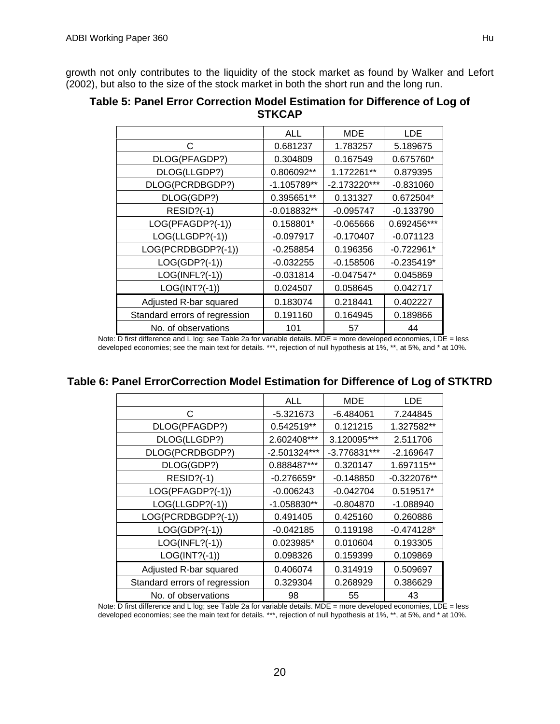growth not only contributes to the liquidity of the stock market as found by Walker and Lefort (2002), but also to the size of the stock market in both the short run and the long run.

|                               | ALL           | <b>MDE</b>     | <b>LDE</b>   |
|-------------------------------|---------------|----------------|--------------|
| C                             | 0.681237      | 1.783257       | 5.189675     |
| DLOG(PFAGDP?)                 | 0.304809      | 0.167549       | 0.675760*    |
| DLOG(LLGDP?)                  | 0.806092**    | 1.172261**     | 0.879395     |
| DLOG(PCRDBGDP?)               | -1.105789**   | $-2.173220***$ | $-0.831060$  |
| DLOG(GDP?)                    | 0.395651**    | 0.131327       | 0.672504*    |
| <b>RESID?(-1)</b>             | $-0.018832**$ | $-0.095747$    | $-0.133790$  |
| LOG(PFAGDP?(-1))              | 0.158801*     | $-0.065666$    | 0.692456***  |
| LOG(LLGDP?(-1))               | $-0.097917$   | $-0.170407$    | $-0.071123$  |
| LOG(PCRDBGDP?(-1))            | $-0.258854$   | 0.196356       | $-0.722961*$ |
| $LOG(GDP?(-1))$               | $-0.032255$   | $-0.158506$    | $-0.235419*$ |
| $LOG(INFL?(-1))$              | $-0.031814$   | $-0.047547*$   | 0.045869     |
| $LOG(INT?(-1))$               | 0.024507      | 0.058645       | 0.042717     |
| Adjusted R-bar squared        | 0.183074      | 0.218441       | 0.402227     |
| Standard errors of regression | 0.191160      | 0.164945       | 0.189866     |
| No. of observations           | 101           | 57             | 44           |

### **Table 5: Panel Error Correction Model Estimation for Difference of Log of STKCAP**

Note: D first difference and L log; see Table 2a for variable details. MDE = more developed economies, LDE = less developed economies; see the main text for details. \*\*\*, rejection of null hypothesis at 1%, \*\*, at 5%, and \* at 10%.

## **Table 6: Panel ErrorCorrection Model Estimation for Difference of Log of STKTRD**

|                               | ALL           | MDE          | <b>LDE</b>    |
|-------------------------------|---------------|--------------|---------------|
| C                             | $-5.321673$   | $-6.484061$  | 7.244845      |
| DLOG(PFAGDP?)                 | 0.542519**    | 0.121215     | 1.327582**    |
| DLOG(LLGDP?)                  | 2.602408***   | 3.120095***  | 2.511706      |
| DLOG(PCRDBGDP?)               | -2.501324***  | -3.776831*** | $-2.169647$   |
| DLOG(GDP?)                    | 0.888487***   | 0.320147     | 1.697115**    |
| <b>RESID?(-1)</b>             | $-0.276659*$  | $-0.148850$  | $-0.322076**$ |
| LOG(PFAGDP?(-1))              | $-0.006243$   | $-0.042704$  | 0.519517*     |
| LOG(LLGDP?(-1))               | $-1.058830**$ | $-0.804870$  | $-1.088940$   |
| LOG(PCRDBGDP?(-1))            | 0.491405      | 0.425160     | 0.260886      |
| $LOG(GDP?(-1))$               | $-0.042185$   | 0.119198     | $-0.474128*$  |
| $LOG(INFL?(-1))$              | 0.023985*     | 0.010604     | 0.193305      |
| $LOG(INT?(-1))$               | 0.098326      | 0.159399     | 0.109869      |
| Adjusted R-bar squared        | 0.406074      | 0.314919     | 0.509697      |
| Standard errors of regression | 0.329304      | 0.268929     | 0.386629      |
| No. of observations           | 98            | 55           | 43            |

Note: D first difference and L log; see Table 2a for variable details. MDE = more developed economies, LDE = less developed economies; see the main text for details. \*\*\*, rejection of null hypothesis at 1%, \*\*, at 5%, and \* at 10%.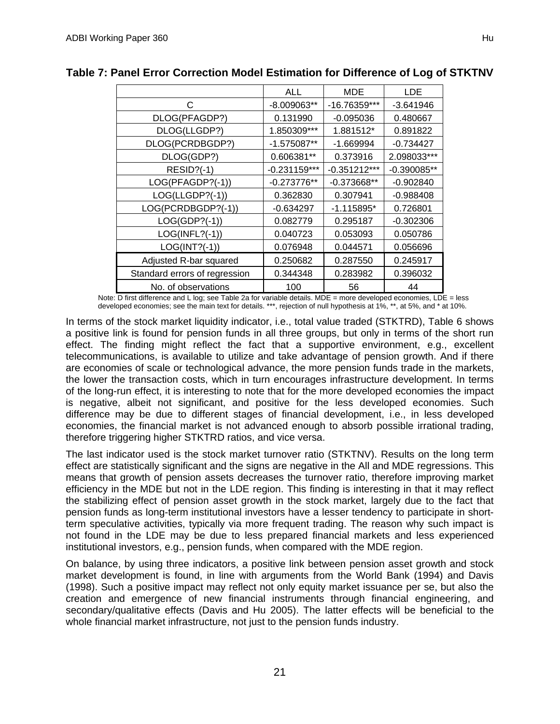|                               | ALL            | MDE            | LDE           |
|-------------------------------|----------------|----------------|---------------|
| C                             | -8.009063**    | -16.76359***   | $-3.641946$   |
| DLOG(PFAGDP?)                 | 0.131990       | $-0.095036$    | 0.480667      |
| DLOG(LLGDP?)                  | 1.850309***    | 1.881512*      | 0.891822      |
| DLOG(PCRDBGDP?)               | $-1.575087**$  | $-1.669994$    | $-0.734427$   |
| DLOG(GDP?)                    | 0.606381**     | 0.373916       | 2.098033***   |
| <b>RESID?(-1)</b>             | $-0.231159***$ | $-0.351212***$ | $-0.390085**$ |
| LOG(PFAGDP?(-1))              | $-0.273776**$  | $-0.373668**$  | $-0.902840$   |
| LOG(LLGDP?(-1))               | 0.362830       | 0.307941       | $-0.988408$   |
| LOG(PCRDBGDP?(-1))            | $-0.634297$    | $-1.115895*$   | 0.726801      |
| $LOG(GDP?(-1))$               | 0.082779       | 0.295187       | $-0.302306$   |
| $LOG(INFL?(-1))$              | 0.040723       | 0.053093       | 0.050786      |
| LOG(INT?(-1))                 | 0.076948       | 0.044571       | 0.056696      |
| Adjusted R-bar squared        | 0.250682       | 0.287550       | 0.245917      |
| Standard errors of regression | 0.344348       | 0.283982       | 0.396032      |
| No. of observations           | 100            | 56             | 44            |

### **Table 7: Panel Error Correction Model Estimation for Difference of Log of STKTNV**

Note: D first difference and L log; see Table 2a for variable details. MDE = more developed economies, LDE = less developed economies; see the main text for details. \*\*\*, rejection of null hypothesis at 1%, \*\*, at 5%, and \* at 10%.

In terms of the stock market liquidity indicator, i.e., total value traded (STKTRD), Table 6 shows a positive link is found for pension funds in all three groups, but only in terms of the short run effect. The finding might reflect the fact that a supportive environment, e.g., excellent telecommunications, is available to utilize and take advantage of pension growth. And if there are economies of scale or technological advance, the more pension funds trade in the markets, the lower the transaction costs, which in turn encourages infrastructure development. In terms of the long-run effect, it is interesting to note that for the more developed economies the impact is negative, albeit not significant, and positive for the less developed economies. Such difference may be due to different stages of financial development, i.e., in less developed economies, the financial market is not advanced enough to absorb possible irrational trading, therefore triggering higher STKTRD ratios, and vice versa.

The last indicator used is the stock market turnover ratio (STKTNV). Results on the long term effect are statistically significant and the signs are negative in the All and MDE regressions. This means that growth of pension assets decreases the turnover ratio, therefore improving market efficiency in the MDE but not in the LDE region. This finding is interesting in that it may reflect the stabilizing effect of pension asset growth in the stock market, largely due to the fact that pension funds as long-term institutional investors have a lesser tendency to participate in shortterm speculative activities, typically via more frequent trading. The reason why such impact is not found in the LDE may be due to less prepared financial markets and less experienced institutional investors, e.g., pension funds, when compared with the MDE region.

On balance, by using three indicators, a positive link between pension asset growth and stock market development is found, in line with arguments from the World Bank (1994) and Davis (1998). Such a positive impact may reflect not only equity market issuance per se, but also the creation and emergence of new financial instruments through financial engineering, and secondary/qualitative effects (Davis and Hu 2005). The latter effects will be beneficial to the whole financial market infrastructure, not just to the pension funds industry.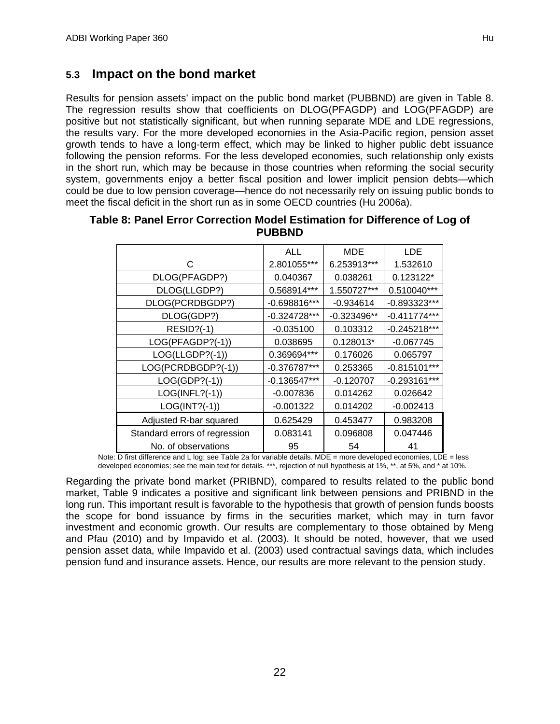## **5.3 Impact on the bond market**

Results for pension assets' impact on the public bond market (PUBBND) are given in Table 8. The regression results show that coefficients on DLOG(PFAGDP) and LOG(PFAGDP) are positive but not statistically significant, but when running separate MDE and LDE regressions, the results vary. For the more developed economies in the Asia-Pacific region, pension asset growth tends to have a long-term effect, which may be linked to higher public debt issuance following the pension reforms. For the less developed economies, such relationship only exists in the short run, which may be because in those countries when reforming the social security system, governments enjoy a better fiscal position and lower implicit pension debts—which could be due to low pension coverage—hence do not necessarily rely on issuing public bonds to meet the fiscal deficit in the short run as in some OECD countries (Hu 2006a).

|                               | ALL            | <b>MDE</b>    | <b>LDE</b>     |
|-------------------------------|----------------|---------------|----------------|
| C                             | 2.801055***    | 6.253913***   | 1.532610       |
| DLOG(PFAGDP?)                 | 0.040367       | 0.038261      | 0.123122*      |
| DLOG(LLGDP?)                  | 0.568914***    | 1.550727***   | 0.510040***    |
| DLOG(PCRDBGDP?)               | $-0.698816***$ | $-0.934614$   | -0.893323***   |
| DLOG(GDP?)                    | $-0.324728***$ | $-0.323496**$ | $-0.411774***$ |
| $RESID?(-1)$                  | $-0.035100$    | 0.103312      | $-0.245218***$ |
| LOG(PFAGDP?(-1))              | 0.038695       | 0.128013*     | $-0.067745$    |
| LOG(LLGDP?(-1))               | 0.369694***    | 0.176026      | 0.065797       |
| LOG(PCRDBGDP?(-1))            | $-0.376787***$ | 0.253365      | $-0.815101***$ |
| $LOG(GDP?(-1))$               | $-0.136547***$ | $-0.120707$   | $-0.293161***$ |
| $LOG(INFL?(-1))$              | $-0.007836$    | 0.014262      | 0.026642       |
| $LOG(INT?(-1))$               | $-0.001322$    | 0.014202      | $-0.002413$    |
| Adjusted R-bar squared        | 0.625429       | 0.453477      | 0.983208       |
| Standard errors of regression | 0.083141       | 0.096808      | 0.047446       |
| No. of observations           | 95             | 54            | 41             |

| Table 8: Panel Error Correction Model Estimation for Difference of Log of |  |
|---------------------------------------------------------------------------|--|
| <b>PUBBND</b>                                                             |  |

Note: D first difference and L log; see Table 2a for variable details. MDE = more developed economies, LDE = less developed economies; see the main text for details. \*\*\*, rejection of null hypothesis at 1%, \*\*, at 5%, and \* at 10%.

Regarding the private bond market (PRIBND), compared to results related to the public bond market, Table 9 indicates a positive and significant link between pensions and PRIBND in the long run. This important result is favorable to the hypothesis that growth of pension funds boosts the scope for bond issuance by firms in the securities market, which may in turn favor investment and economic growth. Our results are complementary to those obtained by Meng and Pfau (2010) and by Impavido et al. (2003). It should be noted, however, that we used pension asset data, while Impavido et al. (2003) used contractual savings data, which includes pension fund and insurance assets. Hence, our results are more relevant to the pension study.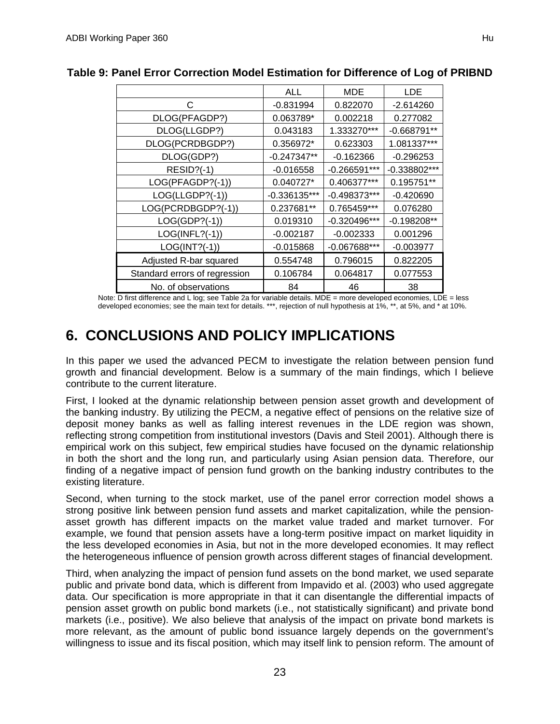|                               | <b>ALL</b>     | <b>MDE</b>     | <b>LDE</b>    |
|-------------------------------|----------------|----------------|---------------|
| C                             | $-0.831994$    | 0.822070       | $-2.614260$   |
| DLOG(PFAGDP?)                 | 0.063789*      | 0.002218       | 0.277082      |
| DLOG(LLGDP?)                  | 0.043183       | 1.333270***    | $-0.668791**$ |
| DLOG(PCRDBGDP?)               | 0.356972*      | 0.623303       | 1.081337***   |
| DLOG(GDP?)                    | $-0.247347**$  | $-0.162366$    | $-0.296253$   |
| <b>RESID?(-1)</b>             | $-0.016558$    | $-0.266591***$ | -0.338802***  |
| LOG(PFAGDP?(-1))              | 0.040727*      | 0.406377***    | 0.195751**    |
| LOG(LLGDP?(-1))               | $-0.336135***$ | $-0.498373***$ | $-0.420690$   |
| LOG(PCRDBGDP?(-1))            | 0.237681**     | 0.765459***    | 0.076280      |
| $LOG(GDP?(-1))$               | 0.019310       | $-0.320496***$ | $-0.198208**$ |
| $LOG(INFL?(-1))$              | $-0.002187$    | $-0.002333$    | 0.001296      |
| $LOG(INT?(-1))$               | $-0.015868$    | -0.067688***   | $-0.003977$   |
| Adjusted R-bar squared        | 0.554748       | 0.796015       | 0.822205      |
| Standard errors of regression | 0.106784       | 0.064817       | 0.077553      |

### **Table 9: Panel Error Correction Model Estimation for Difference of Log of PRIBND**

No. of observations  $\begin{array}{|c|c|c|c|c|c|} \hline \text{No. of observations} & \text{B4} & \text{A6} & \text{B8} \\ \hline \end{array}$ Note: D first difference and L log; see Table 2a for variable details. MDE = more developed economies, LDE = less developed economies; see the main text for details. \*\*\*, rejection of null hypothesis at 1%, \*\*, at 5%, and \* at 10%.

# **6. CONCLUSIONS AND POLICY IMPLICATIONS**

In this paper we used the advanced PECM to investigate the relation between pension fund growth and financial development. Below is a summary of the main findings, which I believe contribute to the current literature.

First, I looked at the dynamic relationship between pension asset growth and development of the banking industry. By utilizing the PECM, a negative effect of pensions on the relative size of deposit money banks as well as falling interest revenues in the LDE region was shown, reflecting strong competition from institutional investors (Davis and Steil 2001). Although there is empirical work on this subject, few empirical studies have focused on the dynamic relationship in both the short and the long run, and particularly using Asian pension data. Therefore, our finding of a negative impact of pension fund growth on the banking industry contributes to the existing literature.

Second, when turning to the stock market, use of the panel error correction model shows a strong positive link between pension fund assets and market capitalization, while the pensionasset growth has different impacts on the market value traded and market turnover. For example, we found that pension assets have a long-term positive impact on market liquidity in the less developed economies in Asia, but not in the more developed economies. It may reflect the heterogeneous influence of pension growth across different stages of financial development.

Third, when analyzing the impact of pension fund assets on the bond market, we used separate public and private bond data, which is different from Impavido et al. (2003) who used aggregate data. Our specification is more appropriate in that it can disentangle the differential impacts of pension asset growth on public bond markets (i.e., not statistically significant) and private bond markets (i.e., positive). We also believe that analysis of the impact on private bond markets is more relevant, as the amount of public bond issuance largely depends on the government's willingness to issue and its fiscal position, which may itself link to pension reform. The amount of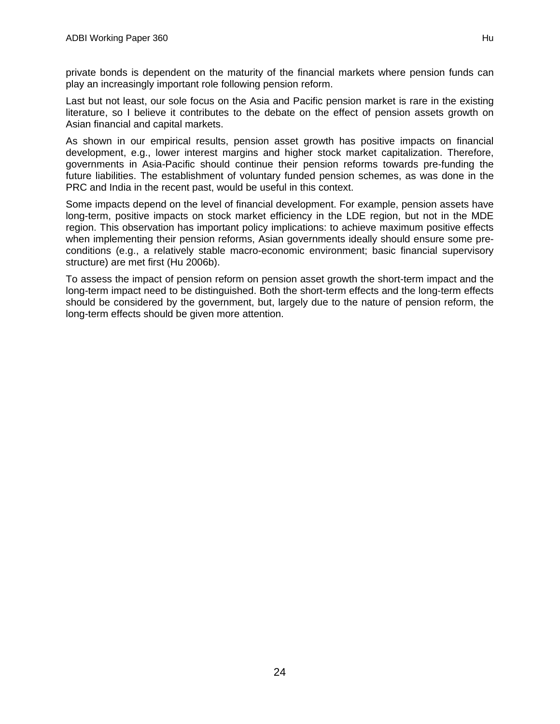private bonds is dependent on the maturity of the financial markets where pension funds can play an increasingly important role following pension reform.

Last but not least, our sole focus on the Asia and Pacific pension market is rare in the existing literature, so I believe it contributes to the debate on the effect of pension assets growth on Asian financial and capital markets.

As shown in our empirical results, pension asset growth has positive impacts on financial development, e.g., lower interest margins and higher stock market capitalization. Therefore, governments in Asia-Pacific should continue their pension reforms towards pre-funding the future liabilities. The establishment of voluntary funded pension schemes, as was done in the PRC and India in the recent past, would be useful in this context.

Some impacts depend on the level of financial development. For example, pension assets have long-term, positive impacts on stock market efficiency in the LDE region, but not in the MDE region. This observation has important policy implications: to achieve maximum positive effects when implementing their pension reforms, Asian governments ideally should ensure some preconditions (e.g., a relatively stable macro-economic environment; basic financial supervisory structure) are met first (Hu 2006b).

To assess the impact of pension reform on pension asset growth the short-term impact and the long-term impact need to be distinguished. Both the short-term effects and the long-term effects should be considered by the government, but, largely due to the nature of pension reform, the long-term effects should be given more attention.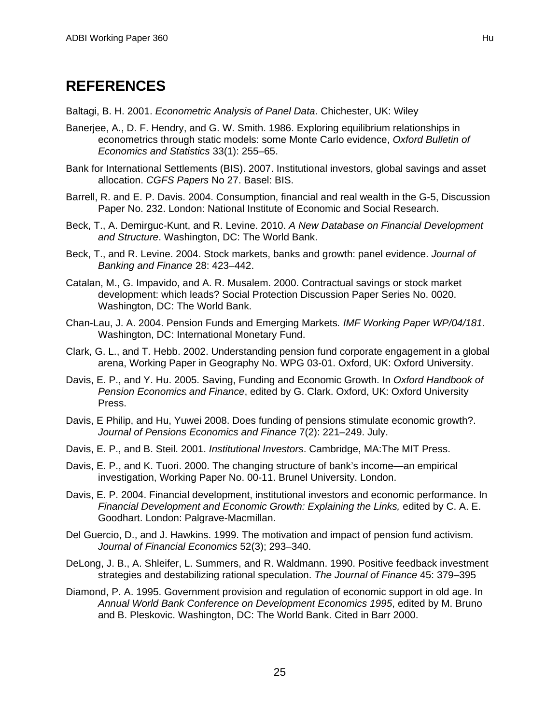# **REFERENCES**

Baltagi, B. H. 2001. *Econometric Analysis of Panel Data*. Chichester, UK: Wiley

- Banerjee, A., D. F. Hendry, and G. W. Smith. 1986. Exploring equilibrium relationships in econometrics through static models: some Monte Carlo evidence, *Oxford Bulletin of Economics and Statistics* 33(1): 255–65.
- Bank for International Settlements (BIS). 2007. Institutional investors, global savings and asset allocation. *CGFS Papers* No 27. Basel: BIS.
- Barrell, R. and E. P. Davis. 2004. Consumption, financial and real wealth in the G-5, Discussion Paper No. 232. London: National Institute of Economic and Social Research.
- Beck, T., A. Demirguc-Kunt, and R. Levine. 2010. *A New Database on Financial Development and Structure*. Washington, DC: The World Bank.
- Beck, T., and R. Levine. 2004. Stock markets, banks and growth: panel evidence. *Journal of Banking and Finance* 28: 423–442.
- Catalan, M., G. Impavido, and A. R. Musalem. 2000. Contractual savings or stock market development: which leads? Social Protection Discussion Paper Series No. 0020. Washington, DC: The World Bank.
- Chan-Lau, J. A. 2004. Pension Funds and Emerging Markets*. IMF Working Paper WP/04/181.*  Washington, DC: International Monetary Fund.
- Clark, G. L., and T. Hebb. 2002. Understanding pension fund corporate engagement in a global arena, Working Paper in Geography No. WPG 03-01. Oxford, UK: Oxford University.
- Davis, E. P., and Y. Hu. 2005. Saving, Funding and Economic Growth. In *Oxford Handbook of Pension Economics and Finance*, edited by G. Clark. Oxford, UK: Oxford University Press.
- Davis, E Philip, and Hu, Yuwei 2008. Does funding of pensions stimulate economic growth?. *Journal of Pensions Economics and Finance* 7(2): 221–249. July.
- Davis, E. P., and B. Steil. 2001. *Institutional Investors*. Cambridge, MA:The MIT Press.
- Davis, E. P., and K. Tuori. 2000. The changing structure of bank's income—an empirical investigation, Working Paper No. 00-11. Brunel University. London.
- Davis, E. P. 2004. Financial development, institutional investors and economic performance. In *Financial Development and Economic Growth: Explaining the Links, edited by C. A. E.* Goodhart. London: Palgrave-Macmillan.
- Del Guercio, D., and J. Hawkins. 1999. The motivation and impact of pension fund activism. *Journal of Financial Economics* 52(3); 293–340.
- DeLong, J. B., A. Shleifer, L. Summers, and R. Waldmann. 1990. Positive feedback investment strategies and destabilizing rational speculation. *The Journal of Finance* 45: 379–395
- Diamond, P. A. 1995. Government provision and regulation of economic support in old age. In *Annual World Bank Conference on Development Economics 1995*, edited by M. Bruno and B. Pleskovic. Washington, DC: The World Bank. Cited in Barr 2000.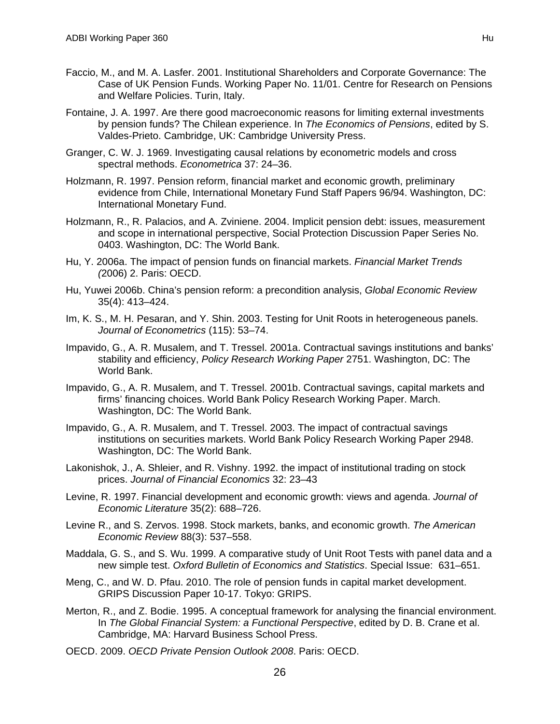- Faccio, M., and M. A. Lasfer. 2001. Institutional Shareholders and Corporate Governance: The Case of UK Pension Funds. Working Paper No. 11/01. Centre for Research on Pensions and Welfare Policies. Turin, Italy.
- Fontaine, J. A. 1997. Are there good macroeconomic reasons for limiting external investments by pension funds? The Chilean experience. In *The Economics of Pensions*, edited by S. Valdes-Prieto. Cambridge, UK: Cambridge University Press.
- Granger, C. W. J. 1969. Investigating causal relations by econometric models and cross spectral methods. *Econometrica* 37: 24–36.
- Holzmann, R. 1997. Pension reform, financial market and economic growth, preliminary evidence from Chile, International Monetary Fund Staff Papers 96/94. Washington, DC: International Monetary Fund.
- Holzmann, R., R. Palacios, and A. Zviniene. 2004. Implicit pension debt: issues, measurement and scope in international perspective, Social Protection Discussion Paper Series No. 0403. Washington, DC: The World Bank.
- Hu, Y. 2006a. The impact of pension funds on financial markets. *Financial Market Trends (*2006) 2. Paris: OECD.
- Hu, Yuwei 2006b. China's pension reform: a precondition analysis, *Global Economic Review* 35(4): 413–424.
- Im, K. S., M. H. Pesaran, and Y. Shin. 2003. Testing for Unit Roots in heterogeneous panels. *Journal of Econometrics* (115): 53–74.
- Impavido, G., A. R. Musalem, and T. Tressel. 2001a. Contractual savings institutions and banks' stability and efficiency, *Policy Research Working Paper* 2751. Washington, DC: The World Bank.
- Impavido, G., A. R. Musalem, and T. Tressel. 2001b. Contractual savings, capital markets and firms' financing choices. World Bank Policy Research Working Paper. March. Washington, DC: The World Bank.
- Impavido, G., A. R. Musalem, and T. Tressel. 2003. The impact of contractual savings institutions on securities markets. World Bank Policy Research Working Paper 2948. Washington, DC: The World Bank.
- Lakonishok, J., A. Shleier, and R. Vishny. 1992. the impact of institutional trading on stock prices. *Journal of Financial Economics* 32: 23–43
- Levine, R. 1997. Financial development and economic growth: views and agenda. *Journal of Economic Literature* 35(2): 688–726.
- Levine R., and S. Zervos. 1998. Stock markets, banks, and economic growth. *The American Economic Review* 88(3): 537–558.
- Maddala, G. S., and S. Wu. 1999. A comparative study of Unit Root Tests with panel data and a new simple test. *Oxford Bulletin of Economics and Statistics*. Special Issue: 631–651.
- Meng, C., and W. D. Pfau. 2010. The role of pension funds in capital market development. GRIPS Discussion Paper 10-17. Tokyo: GRIPS.
- Merton, R., and Z. Bodie. 1995. A conceptual framework for analysing the financial environment. In *The Global Financial System: a Functional Perspective*, edited by D. B. Crane et al. Cambridge, MA: Harvard Business School Press.
- OECD. 2009. *OECD Private Pension Outlook 2008*. Paris: OECD.